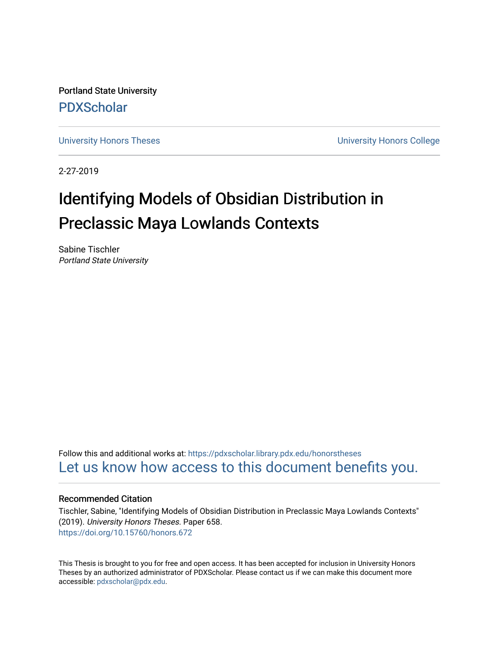Portland State University [PDXScholar](https://pdxscholar.library.pdx.edu/)

[University Honors Theses](https://pdxscholar.library.pdx.edu/honorstheses) [University Honors College](https://pdxscholar.library.pdx.edu/honors) 

2-27-2019

# Identifying Models of Obsidian Distribution in Preclassic Maya Lowlands Contexts

Sabine Tischler Portland State University

Follow this and additional works at: [https://pdxscholar.library.pdx.edu/honorstheses](https://pdxscholar.library.pdx.edu/honorstheses?utm_source=pdxscholar.library.pdx.edu%2Fhonorstheses%2F658&utm_medium=PDF&utm_campaign=PDFCoverPages)  [Let us know how access to this document benefits you.](http://library.pdx.edu/services/pdxscholar-services/pdxscholar-feedback/) 

## Recommended Citation

Tischler, Sabine, "Identifying Models of Obsidian Distribution in Preclassic Maya Lowlands Contexts" (2019). University Honors Theses. Paper 658. <https://doi.org/10.15760/honors.672>

This Thesis is brought to you for free and open access. It has been accepted for inclusion in University Honors Theses by an authorized administrator of PDXScholar. Please contact us if we can make this document more accessible: [pdxscholar@pdx.edu.](mailto:pdxscholar@pdx.edu)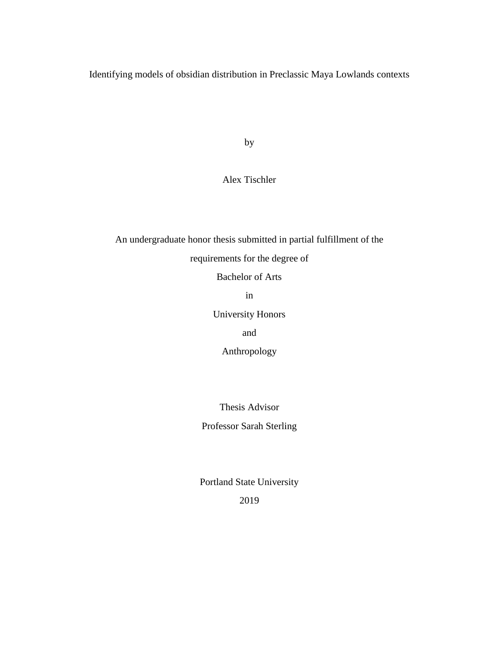Identifying models of obsidian distribution in Preclassic Maya Lowlands contexts

by

Alex Tischler

An undergraduate honor thesis submitted in partial fulfillment of the requirements for the degree of

Bachelor of Arts

in

University Honors

and

Anthropology

Thesis Advisor

Professor Sarah Sterling

Portland State University

2019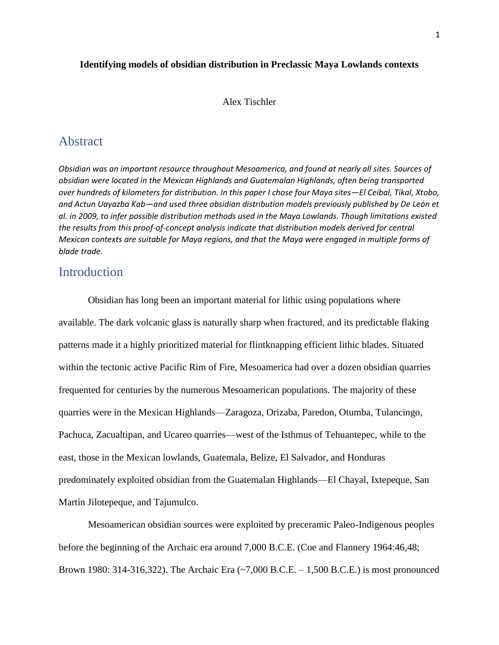# **Identifying models of obsidian distribution in Preclassic Maya Lowlands contexts**

Alex Tischler

# **Abstract**

*Obsidian was an important resource throughout Mesoamerica, and found at nearly all sites. Sources of obsidian were located in the Mexican Highlands and Guatemalan Highlands, often being transported over hundreds of kilometers for distribution. In this paper I chose four Maya sites—El Ceibal, Tikal, Xtobo, and Actun Uayazba Kab—and used three obsidian distribution models previously published by De León et al. in 2009, to infer possible distribution methods used in the Maya Lowlands. Though limitations existed the results from this proof-of-concept analysis indicate that distribution models derived for central Mexican contexts are suitable for Maya regions, and that the Maya were engaged in multiple forms of blade trade.* 

# **Introduction**

Obsidian has long been an important material for lithic using populations where available. The dark volcanic glass is naturally sharp when fractured, and its predictable flaking patterns made it a highly prioritized material for flintknapping efficient lithic blades. Situated within the tectonic active Pacific Rim of Fire, Mesoamerica had over a dozen obsidian quarries frequented for centuries by the numerous Mesoamerican populations. The majority of these quarries were in the Mexican Highlands—Zaragoza, Orizaba, Paredon, Otumba, Tulancingo, Pachuca, Zacualtipan, and Ucareo quarries—west of the Isthmus of Tehuantepec, while to the east, those in the Mexican lowlands, Guatemala, Belize, El Salvador, and Honduras predominately exploited obsidian from the Guatemalan Highlands—El Chayal, Ixtepeque, San Martín Jilotepeque, and Tajumulco.

Mesoamerican obsidian sources were exploited by preceramic Paleo-Indigenous peoples before the beginning of the Archaic era around 7,000 B.C.E. (Coe and Flannery 1964:46,48; Brown 1980: 314-316,322). The Archaic Era  $({\sim}7,000$  B.C.E.  $-1,500$  B.C.E.) is most pronounced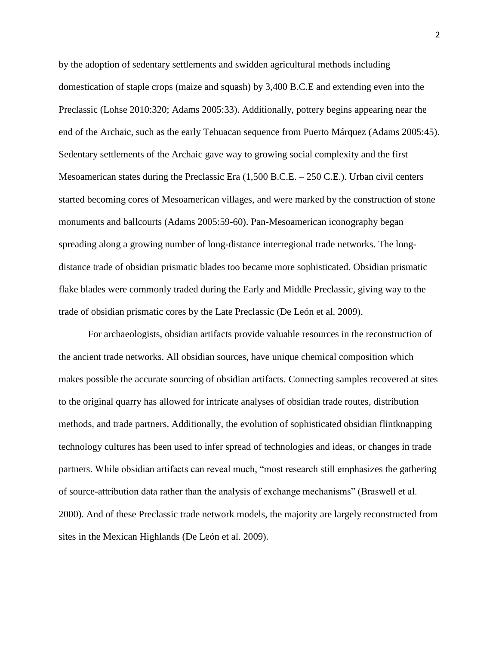by the adoption of sedentary settlements and swidden agricultural methods including domestication of staple crops (maize and squash) by 3,400 B.C.E and extending even into the Preclassic (Lohse 2010:320; Adams 2005:33). Additionally, pottery begins appearing near the end of the Archaic, such as the early Tehuacan sequence from Puerto Márquez (Adams 2005:45). Sedentary settlements of the Archaic gave way to growing social complexity and the first Mesoamerican states during the Preclassic Era (1,500 B.C.E. – 250 C.E.). Urban civil centers started becoming cores of Mesoamerican villages, and were marked by the construction of stone monuments and ballcourts (Adams 2005:59-60). Pan-Mesoamerican iconography began spreading along a growing number of long-distance interregional trade networks. The longdistance trade of obsidian prismatic blades too became more sophisticated. Obsidian prismatic flake blades were commonly traded during the Early and Middle Preclassic, giving way to the trade of obsidian prismatic cores by the Late Preclassic (De León et al. 2009).

For archaeologists, obsidian artifacts provide valuable resources in the reconstruction of the ancient trade networks. All obsidian sources, have unique chemical composition which makes possible the accurate sourcing of obsidian artifacts. Connecting samples recovered at sites to the original quarry has allowed for intricate analyses of obsidian trade routes, distribution methods, and trade partners. Additionally, the evolution of sophisticated obsidian flintknapping technology cultures has been used to infer spread of technologies and ideas, or changes in trade partners. While obsidian artifacts can reveal much, "most research still emphasizes the gathering of source-attribution data rather than the analysis of exchange mechanisms" (Braswell et al. 2000). And of these Preclassic trade network models, the majority are largely reconstructed from sites in the Mexican Highlands (De León et al. 2009).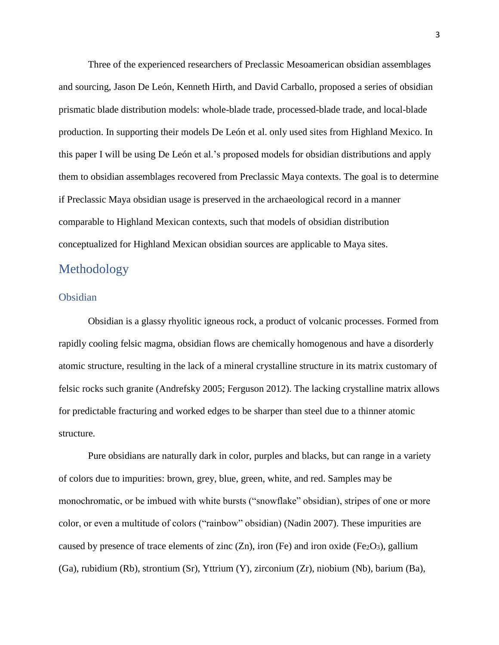Three of the experienced researchers of Preclassic Mesoamerican obsidian assemblages and sourcing, Jason De León, Kenneth Hirth, and David Carballo, proposed a series of obsidian prismatic blade distribution models: whole-blade trade, processed-blade trade, and local-blade production. In supporting their models De León et al. only used sites from Highland Mexico. In this paper I will be using De León et al.'s proposed models for obsidian distributions and apply them to obsidian assemblages recovered from Preclassic Maya contexts. The goal is to determine if Preclassic Maya obsidian usage is preserved in the archaeological record in a manner comparable to Highland Mexican contexts, such that models of obsidian distribution conceptualized for Highland Mexican obsidian sources are applicable to Maya sites.

# Methodology

# Obsidian

Obsidian is a glassy rhyolitic igneous rock, a product of volcanic processes. Formed from rapidly cooling felsic magma, obsidian flows are chemically homogenous and have a disorderly atomic structure, resulting in the lack of a mineral crystalline structure in its matrix customary of felsic rocks such granite (Andrefsky 2005; Ferguson 2012). The lacking crystalline matrix allows for predictable fracturing and worked edges to be sharper than steel due to a thinner atomic structure.

Pure obsidians are naturally dark in color, purples and blacks, but can range in a variety of colors due to impurities: brown, grey, blue, green, white, and red. Samples may be monochromatic, or be imbued with white bursts ("snowflake" obsidian), stripes of one or more color, or even a multitude of colors ("rainbow" obsidian) (Nadin 2007). These impurities are caused by presence of trace elements of zinc  $(Zn)$ , iron (Fe) and iron oxide (Fe<sub>2</sub>O<sub>3</sub>), gallium (Ga), rubidium (Rb), strontium (Sr), Yttrium (Y), zirconium (Zr), niobium (Nb), barium (Ba),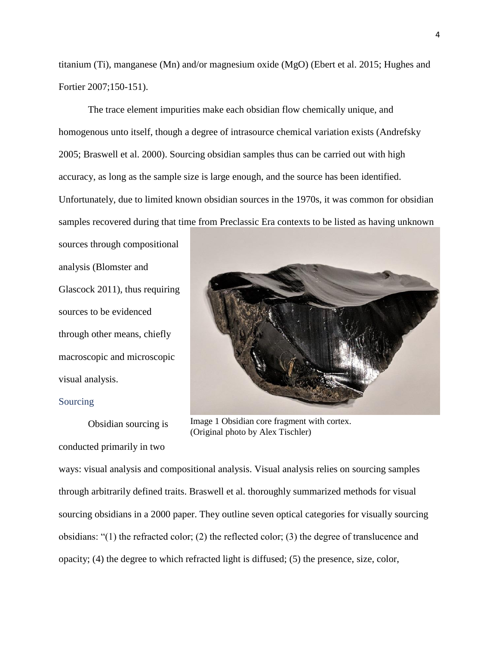titanium (Ti), manganese (Mn) and/or magnesium oxide (MgO) (Ebert et al. 2015; Hughes and Fortier 2007;150-151).

The trace element impurities make each obsidian flow chemically unique, and homogenous unto itself, though a degree of intrasource chemical variation exists (Andrefsky 2005; Braswell et al. 2000). Sourcing obsidian samples thus can be carried out with high accuracy, as long as the sample size is large enough, and the source has been identified. Unfortunately, due to limited known obsidian sources in the 1970s, it was common for obsidian samples recovered during that time from Preclassic Era contexts to be listed as having unknown

sources through compositional analysis (Blomster and Glascock 2011), thus requiring sources to be evidenced through other means, chiefly macroscopic and microscopic visual analysis.

#### Sourcing

Obsidian sourcing is

conducted primarily in two



Image 1 Obsidian core fragment with cortex. (Original photo by Alex Tischler)

ways: visual analysis and compositional analysis. Visual analysis relies on sourcing samples through arbitrarily defined traits. Braswell et al. thoroughly summarized methods for visual sourcing obsidians in a 2000 paper. They outline seven optical categories for visually sourcing obsidians: "(1) the refracted color; (2) the reflected color; (3) the degree of translucence and opacity; (4) the degree to which refracted light is diffused; (5) the presence, size, color,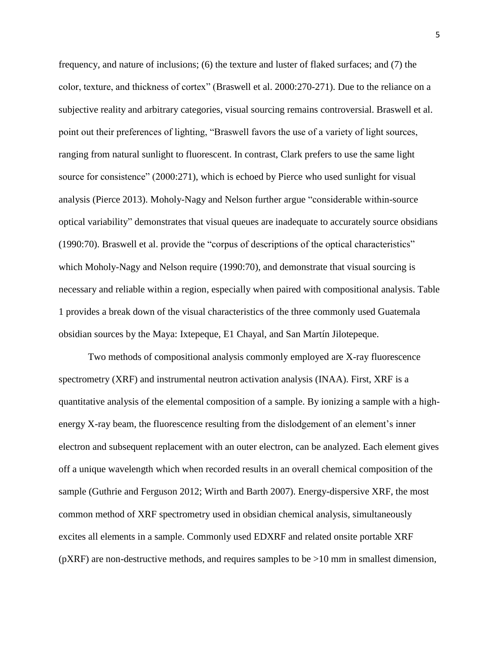frequency, and nature of inclusions; (6) the texture and luster of flaked surfaces; and (7) the color, texture, and thickness of cortex" (Braswell et al. 2000:270-271). Due to the reliance on a subjective reality and arbitrary categories, visual sourcing remains controversial. Braswell et al. point out their preferences of lighting, "Braswell favors the use of a variety of light sources, ranging from natural sunlight to fluorescent. In contrast, Clark prefers to use the same light source for consistence" (2000:271), which is echoed by Pierce who used sunlight for visual analysis (Pierce 2013). Moholy-Nagy and Nelson further argue "considerable within-source optical variability" demonstrates that visual queues are inadequate to accurately source obsidians (1990:70). Braswell et al. provide the "corpus of descriptions of the optical characteristics" which Moholy-Nagy and Nelson require (1990:70), and demonstrate that visual sourcing is necessary and reliable within a region, especially when paired with compositional analysis. Table 1 provides a break down of the visual characteristics of the three commonly used Guatemala obsidian sources by the Maya: Ixtepeque, E1 Chayal, and San Martín Jilotepeque.

Two methods of compositional analysis commonly employed are X-ray fluorescence spectrometry (XRF) and instrumental neutron activation analysis (INAA). First, XRF is a quantitative analysis of the elemental composition of a sample. By ionizing a sample with a highenergy X-ray beam, the fluorescence resulting from the dislodgement of an element's inner electron and subsequent replacement with an outer electron, can be analyzed. Each element gives off a unique wavelength which when recorded results in an overall chemical composition of the sample (Guthrie and Ferguson 2012; Wirth and Barth 2007). Energy-dispersive XRF, the most common method of XRF spectrometry used in obsidian chemical analysis, simultaneously excites all elements in a sample. Commonly used EDXRF and related onsite portable XRF ( $pXRF$ ) are non-destructive methods, and requires samples to be  $>10$  mm in smallest dimension,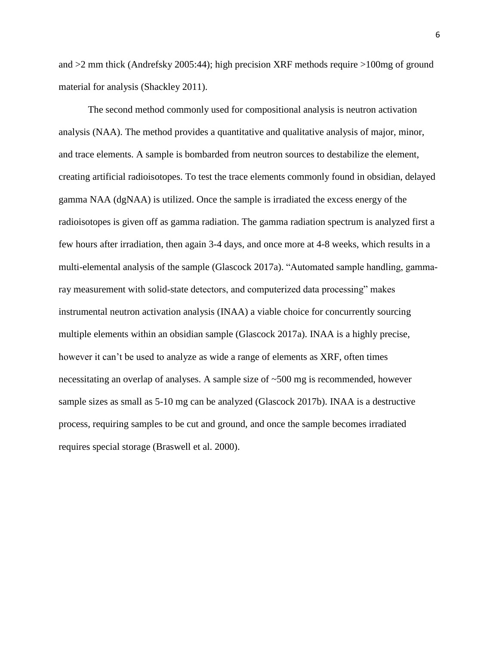and >2 mm thick (Andrefsky 2005:44); high precision XRF methods require >100mg of ground material for analysis (Shackley 2011).

The second method commonly used for compositional analysis is neutron activation analysis (NAA). The method provides a quantitative and qualitative analysis of major, minor, and trace elements. A sample is bombarded from neutron sources to destabilize the element, creating artificial radioisotopes. To test the trace elements commonly found in obsidian, delayed gamma NAA (dgNAA) is utilized. Once the sample is irradiated the excess energy of the radioisotopes is given off as gamma radiation. The gamma radiation spectrum is analyzed first a few hours after irradiation, then again 3-4 days, and once more at 4-8 weeks, which results in a multi-elemental analysis of the sample (Glascock 2017a). "Automated sample handling, gammaray measurement with solid-state detectors, and computerized data processing" makes instrumental neutron activation analysis (INAA) a viable choice for concurrently sourcing multiple elements within an obsidian sample (Glascock 2017a). INAA is a highly precise, however it can't be used to analyze as wide a range of elements as XRF, often times necessitating an overlap of analyses. A sample size of ~500 mg is recommended, however sample sizes as small as 5-10 mg can be analyzed (Glascock 2017b). INAA is a destructive process, requiring samples to be cut and ground, and once the sample becomes irradiated requires special storage (Braswell et al. 2000).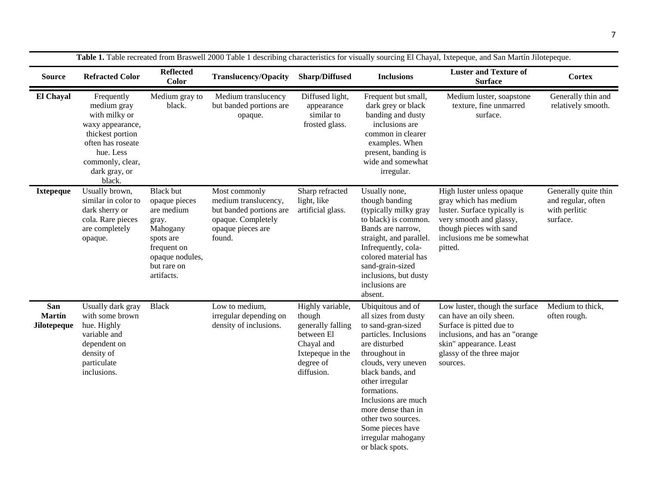| Table 1. Table recreated from Braswell 2000 Table 1 describing characteristics for visually sourcing El Chayal, Ixtepeque, and San Martín Jilotepeque. |                                                                                                                                                                     |                                                                                                                                                  |                                                                                                                       |                                                                                                                            |                                                                                                                                                                                                                                                                                                                                         |                                                                                                                                                                                             |                                                                         |  |  |
|--------------------------------------------------------------------------------------------------------------------------------------------------------|---------------------------------------------------------------------------------------------------------------------------------------------------------------------|--------------------------------------------------------------------------------------------------------------------------------------------------|-----------------------------------------------------------------------------------------------------------------------|----------------------------------------------------------------------------------------------------------------------------|-----------------------------------------------------------------------------------------------------------------------------------------------------------------------------------------------------------------------------------------------------------------------------------------------------------------------------------------|---------------------------------------------------------------------------------------------------------------------------------------------------------------------------------------------|-------------------------------------------------------------------------|--|--|
| <b>Source</b>                                                                                                                                          | <b>Refracted Color</b>                                                                                                                                              | <b>Reflected</b><br>Color                                                                                                                        | <b>Translucency/Opacity</b>                                                                                           | <b>Sharp/Diffused</b>                                                                                                      | <b>Inclusions</b>                                                                                                                                                                                                                                                                                                                       | <b>Luster and Texture of</b><br><b>Surface</b>                                                                                                                                              | <b>Cortex</b>                                                           |  |  |
| El Chayal                                                                                                                                              | Frequently<br>medium gray<br>with milky or<br>waxy appearance,<br>thickest portion<br>often has roseate<br>hue. Less<br>commonly, clear,<br>dark gray, or<br>black. | Medium gray to<br>black.                                                                                                                         | Medium translucency<br>but banded portions are<br>opaque.                                                             | Diffused light,<br>appearance<br>similar to<br>frosted glass.                                                              | Frequent but small,<br>dark grey or black<br>banding and dusty<br>inclusions are<br>common in clearer<br>examples. When<br>present, banding is<br>wide and somewhat<br>irregular.                                                                                                                                                       | Medium luster, soapstone<br>texture, fine unmarred<br>surface.                                                                                                                              | Generally thin and<br>relatively smooth.                                |  |  |
| <b>Ixtepeque</b>                                                                                                                                       | Usually brown,<br>similar in color to<br>dark sherry or<br>cola. Rare pieces<br>are completely<br>opaque.                                                           | <b>Black but</b><br>opaque pieces<br>are medium<br>gray.<br>Mahogany<br>spots are<br>frequent on<br>opaque nodules,<br>but rare on<br>artifacts. | Most commonly<br>medium translucency,<br>but banded portions are<br>opaque. Completely<br>opaque pieces are<br>found. | Sharp refracted<br>light, like<br>artificial glass.                                                                        | Usually none,<br>though banding<br>(typically milky gray<br>to black) is common.<br>Bands are narrow,<br>straight, and parallel.<br>Infrequently, cola-<br>colored material has<br>sand-grain-sized<br>inclusions, but dusty<br>inclusions are<br>absent.                                                                               | High luster unless opaque<br>gray which has medium<br>luster. Surface typically is<br>very smooth and glassy,<br>though pieces with sand<br>inclusions me be somewhat<br>pitted.            | Generally quite thin<br>and regular, often<br>with perlitic<br>surface. |  |  |
| San<br><b>Martín</b><br>Jilotepeque                                                                                                                    | Usually dark gray<br>with some brown<br>hue. Highly<br>variable and<br>dependent on<br>density of<br>particulate<br>inclusions.                                     | <b>Black</b>                                                                                                                                     | Low to medium,<br>irregular depending on<br>density of inclusions.                                                    | Highly variable,<br>though<br>generally falling<br>between El<br>Chayal and<br>Ixtepeque in the<br>degree of<br>diffusion. | Ubiquitous and of<br>all sizes from dusty<br>to sand-gran-sized<br>particles. Inclusions<br>are disturbed<br>throughout in<br>clouds, very uneven<br>black bands, and<br>other irregular<br>formations.<br>Inclusions are much<br>more dense than in<br>other two sources.<br>Some pieces have<br>irregular mahogany<br>or black spots. | Low luster, though the surface<br>can have an oily sheen.<br>Surface is pitted due to<br>inclusions, and has an "orange<br>skin" appearance. Least<br>glassy of the three major<br>sources. | Medium to thick,<br>often rough.                                        |  |  |

7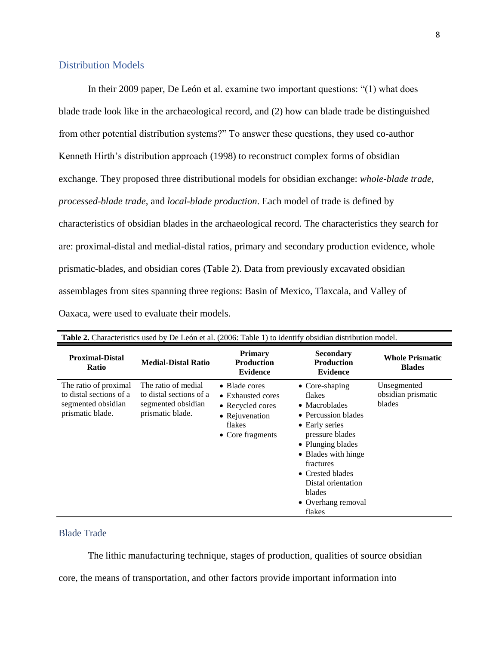# Distribution Models

In their 2009 paper, De León et al. examine two important questions: "(1) what does blade trade look like in the archaeological record, and (2) how can blade trade be distinguished from other potential distribution systems?" To answer these questions, they used co-author Kenneth Hirth's distribution approach (1998) to reconstruct complex forms of obsidian exchange. They proposed three distributional models for obsidian exchange: *whole-blade trade*, *processed-blade trade*, and *local-blade production*. Each model of trade is defined by characteristics of obsidian blades in the archaeological record. The characteristics they search for are: proximal-distal and medial-distal ratios, primary and secondary production evidence, whole prismatic-blades, and obsidian cores (Table 2). Data from previously excavated obsidian assemblages from sites spanning three regions: Basin of Mexico, Tlaxcala, and Valley of Oaxaca, were used to evaluate their models.

| <b>Table 2.</b> Characteristics used by De León et al. (2006: Table 1) to identify obsidian distribution model. |                                                                                          |                                                                                                        |                                                                                                                                                                                                                                                            |                                             |  |  |  |  |  |
|-----------------------------------------------------------------------------------------------------------------|------------------------------------------------------------------------------------------|--------------------------------------------------------------------------------------------------------|------------------------------------------------------------------------------------------------------------------------------------------------------------------------------------------------------------------------------------------------------------|---------------------------------------------|--|--|--|--|--|
| <b>Proximal-Distal</b><br><b>Ratio</b>                                                                          | <b>Medial-Distal Ratio</b>                                                               | <b>Primary</b><br><b>Production</b><br><b>Evidence</b>                                                 | <b>Secondary</b><br><b>Production</b><br><b>Evidence</b>                                                                                                                                                                                                   | <b>Whole Prismatic</b><br><b>Blades</b>     |  |  |  |  |  |
| The ratio of proximal<br>to distal sections of a<br>segmented obsidian<br>prismatic blade.                      | The ratio of medial<br>to distal sections of a<br>segmented obsidian<br>prismatic blade. | • Blade cores<br>• Exhausted cores<br>• Recycled cores<br>• Rejuvenation<br>flakes<br>• Core fragments | $\bullet$ Core-shaping<br>flakes<br>• Macroblades<br>• Percussion blades<br>• Early series<br>pressure blades<br>• Plunging blades<br>• Blades with hinge<br>fractures<br>• Crested blades<br>Distal orientation<br>blades<br>• Overhang removal<br>flakes | Unsegmented<br>obsidian prismatic<br>blades |  |  |  |  |  |

# Blade Trade

The lithic manufacturing technique, stages of production, qualities of source obsidian

core, the means of transportation, and other factors provide important information into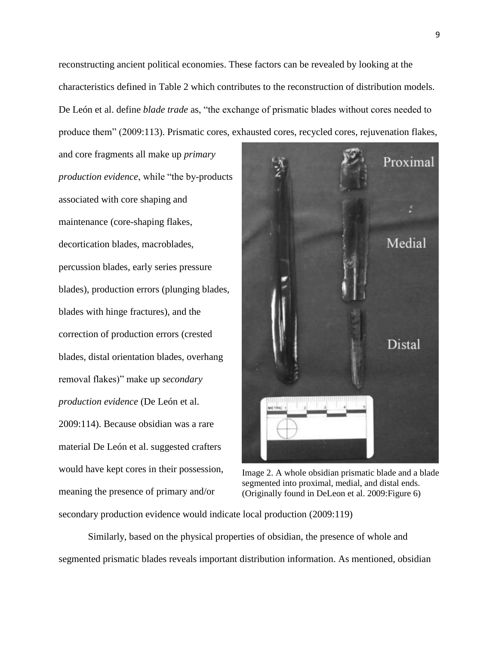reconstructing ancient political economies. These factors can be revealed by looking at the characteristics defined in Table 2 which contributes to the reconstruction of distribution models. De León et al. define *blade trade* as, "the exchange of prismatic blades without cores needed to produce them" (2009:113). Prismatic cores, exhausted cores, recycled cores, rejuvenation flakes,

and core fragments all make up *primary production evidence*, while "the by-products associated with core shaping and maintenance (core-shaping flakes, decortication blades, macroblades, percussion blades, early series pressure blades), production errors (plunging blades, blades with hinge fractures), and the correction of production errors (crested blades, distal orientation blades, overhang removal flakes)" make up *secondary production evidence* (De León et al. 2009:114). Because obsidian was a rare material De León et al. suggested crafters would have kept cores in their possession, meaning the presence of primary and/or



Image 2. A whole obsidian prismatic blade and a blade segmented into proximal, medial, and distal ends. (Originally found in DeLeon et al. 2009:Figure 6)

secondary production evidence would indicate local production (2009:119)

Similarly, based on the physical properties of obsidian, the presence of whole and segmented prismatic blades reveals important distribution information. As mentioned, obsidian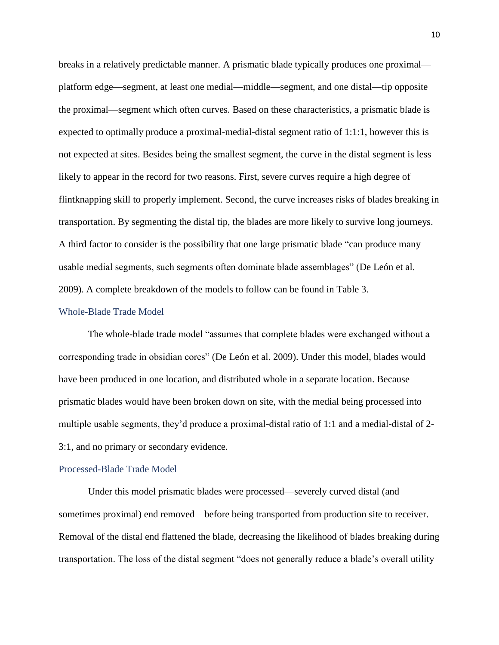breaks in a relatively predictable manner. A prismatic blade typically produces one proximal platform edge—segment, at least one medial—middle—segment, and one distal—tip opposite the proximal—segment which often curves. Based on these characteristics, a prismatic blade is expected to optimally produce a proximal-medial-distal segment ratio of 1:1:1, however this is not expected at sites. Besides being the smallest segment, the curve in the distal segment is less likely to appear in the record for two reasons. First, severe curves require a high degree of flintknapping skill to properly implement. Second, the curve increases risks of blades breaking in transportation. By segmenting the distal tip, the blades are more likely to survive long journeys. A third factor to consider is the possibility that one large prismatic blade "can produce many usable medial segments, such segments often dominate blade assemblages" (De León et al. 2009). A complete breakdown of the models to follow can be found in Table 3.

#### Whole-Blade Trade Model

The whole-blade trade model "assumes that complete blades were exchanged without a corresponding trade in obsidian cores" (De León et al. 2009). Under this model, blades would have been produced in one location, and distributed whole in a separate location. Because prismatic blades would have been broken down on site, with the medial being processed into multiple usable segments, they'd produce a proximal-distal ratio of 1:1 and a medial-distal of 2- 3:1, and no primary or secondary evidence.

#### Processed-Blade Trade Model

Under this model prismatic blades were processed—severely curved distal (and sometimes proximal) end removed—before being transported from production site to receiver. Removal of the distal end flattened the blade, decreasing the likelihood of blades breaking during transportation. The loss of the distal segment "does not generally reduce a blade's overall utility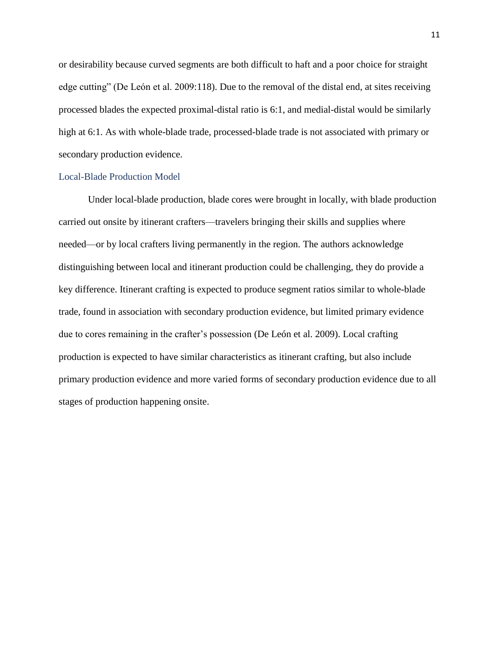or desirability because curved segments are both difficult to haft and a poor choice for straight edge cutting" (De León et al. 2009:118). Due to the removal of the distal end, at sites receiving processed blades the expected proximal-distal ratio is 6:1, and medial-distal would be similarly high at 6:1. As with whole-blade trade, processed-blade trade is not associated with primary or secondary production evidence.

#### Local-Blade Production Model

Under local-blade production, blade cores were brought in locally, with blade production carried out onsite by itinerant crafters—travelers bringing their skills and supplies where needed—or by local crafters living permanently in the region. The authors acknowledge distinguishing between local and itinerant production could be challenging, they do provide a key difference. Itinerant crafting is expected to produce segment ratios similar to whole-blade trade, found in association with secondary production evidence, but limited primary evidence due to cores remaining in the crafter's possession (De León et al. 2009). Local crafting production is expected to have similar characteristics as itinerant crafting, but also include primary production evidence and more varied forms of secondary production evidence due to all stages of production happening onsite.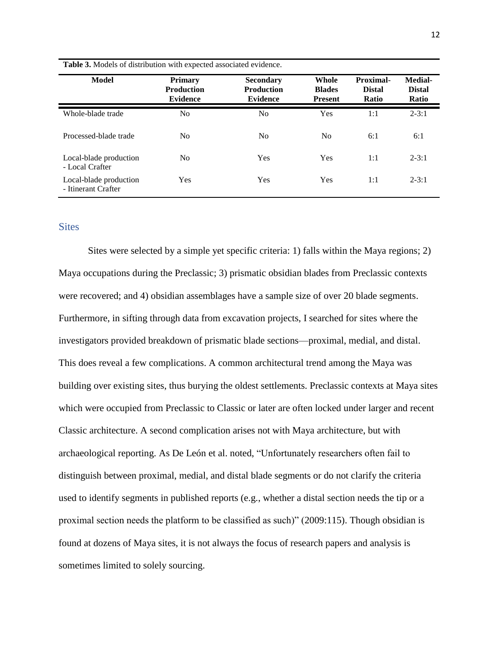| <b>Model</b>                                  | <b>Primary</b><br><b>Production</b><br><b>Evidence</b> | <b>Secondary</b><br><b>Production</b><br><b>Evidence</b> | Whole<br><b>Blades</b><br><b>Present</b> | Proximal-<br><b>Distal</b><br>Ratio | Medial-<br><b>Distal</b><br>Ratio |
|-----------------------------------------------|--------------------------------------------------------|----------------------------------------------------------|------------------------------------------|-------------------------------------|-----------------------------------|
| Whole-blade trade                             | N <sub>0</sub>                                         | N <sub>0</sub>                                           | Yes                                      | 1:1                                 | $2 - 3:1$                         |
| Processed-blade trade                         | N <sub>0</sub>                                         | N <sub>0</sub>                                           | N <sub>0</sub>                           | 6:1                                 | 6:1                               |
| Local-blade production<br>- Local Crafter     | N <sub>0</sub>                                         | Yes                                                      | Yes                                      | 1:1                                 | $2 - 3:1$                         |
| Local-blade production<br>- Itinerant Crafter | Yes                                                    | <b>Yes</b>                                               | Yes                                      | 1:1                                 | $2 - 3:1$                         |

**Table 3.** Models of distribution with expected associated evidence.

## **Sites**

Sites were selected by a simple yet specific criteria: 1) falls within the Maya regions; 2) Maya occupations during the Preclassic; 3) prismatic obsidian blades from Preclassic contexts were recovered; and 4) obsidian assemblages have a sample size of over 20 blade segments. Furthermore, in sifting through data from excavation projects, I searched for sites where the investigators provided breakdown of prismatic blade sections—proximal, medial, and distal. This does reveal a few complications. A common architectural trend among the Maya was building over existing sites, thus burying the oldest settlements. Preclassic contexts at Maya sites which were occupied from Preclassic to Classic or later are often locked under larger and recent Classic architecture. A second complication arises not with Maya architecture, but with archaeological reporting. As De León et al. noted, "Unfortunately researchers often fail to distinguish between proximal, medial, and distal blade segments or do not clarify the criteria used to identify segments in published reports (e.g., whether a distal section needs the tip or a proximal section needs the platform to be classified as such)" (2009:115). Though obsidian is found at dozens of Maya sites, it is not always the focus of research papers and analysis is sometimes limited to solely sourcing.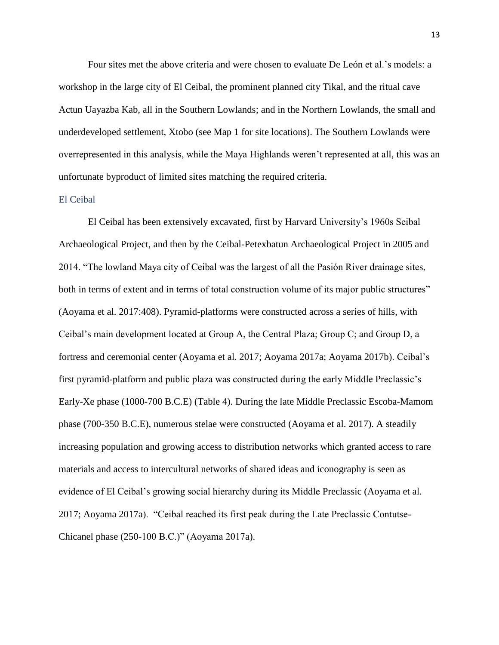Four sites met the above criteria and were chosen to evaluate De León et al.'s models: a workshop in the large city of El Ceibal, the prominent planned city Tikal, and the ritual cave Actun Uayazba Kab, all in the Southern Lowlands; and in the Northern Lowlands, the small and underdeveloped settlement, Xtobo (see Map 1 for site locations). The Southern Lowlands were overrepresented in this analysis, while the Maya Highlands weren't represented at all, this was an unfortunate byproduct of limited sites matching the required criteria.

# El Ceibal

El Ceibal has been extensively excavated, first by Harvard University's 1960s Seibal Archaeological Project, and then by the Ceibal-Petexbatun Archaeological Project in 2005 and 2014. "The lowland Maya city of Ceibal was the largest of all the Pasión River drainage sites, both in terms of extent and in terms of total construction volume of its major public structures" (Aoyama et al. 2017:408). Pyramid-platforms were constructed across a series of hills, with Ceibal's main development located at Group A, the Central Plaza; Group C; and Group D, a fortress and ceremonial center (Aoyama et al. 2017; Aoyama 2017a; Aoyama 2017b). Ceibal's first pyramid-platform and public plaza was constructed during the early Middle Preclassic's Early-Xe phase (1000-700 B.C.E) (Table 4). During the late Middle Preclassic Escoba-Mamom phase (700-350 B.C.E), numerous stelae were constructed (Aoyama et al. 2017). A steadily increasing population and growing access to distribution networks which granted access to rare materials and access to intercultural networks of shared ideas and iconography is seen as evidence of El Ceibal's growing social hierarchy during its Middle Preclassic (Aoyama et al. 2017; Aoyama 2017a). "Ceibal reached its first peak during the Late Preclassic Contutse-Chicanel phase (250-100 B.C.)" (Aoyama 2017a).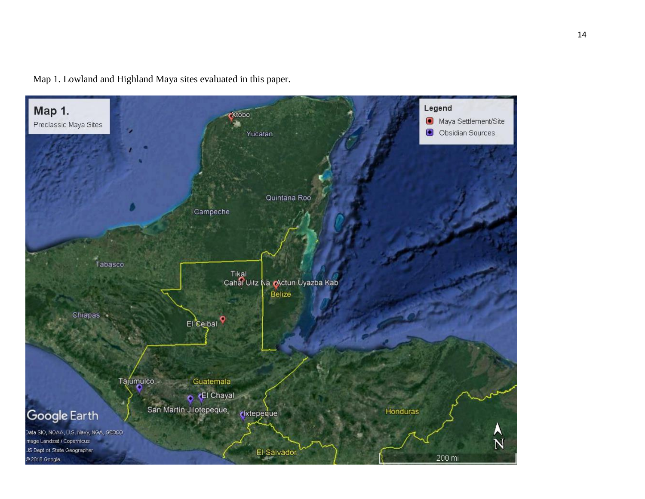

Map 1. Lowland and Highland Maya sites evaluated in this paper.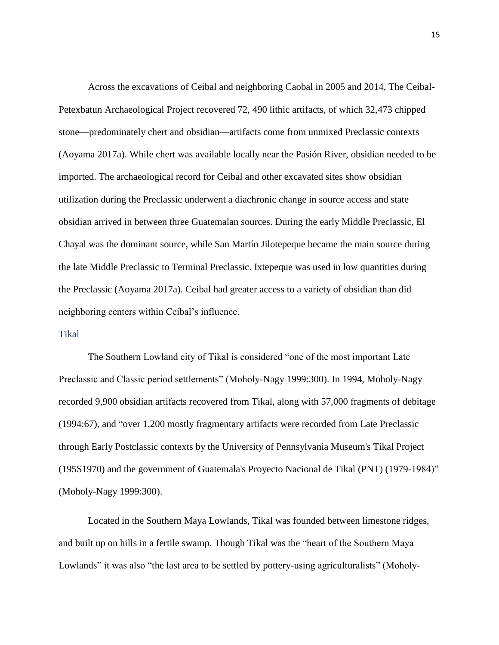Across the excavations of Ceibal and neighboring Caobal in 2005 and 2014, The Ceibal-Petexbatun Archaeological Project recovered 72, 490 lithic artifacts, of which 32,473 chipped stone—predominately chert and obsidian—artifacts come from unmixed Preclassic contexts (Aoyama 2017a). While chert was available locally near the Pasión River, obsidian needed to be imported. The archaeological record for Ceibal and other excavated sites show obsidian utilization during the Preclassic underwent a diachronic change in source access and state obsidian arrived in between three Guatemalan sources. During the early Middle Preclassic, El Chayal was the dominant source, while San Martín Jilotepeque became the main source during the late Middle Preclassic to Terminal Preclassic. Ixtepeque was used in low quantities during the Preclassic (Aoyama 2017a). Ceibal had greater access to a variety of obsidian than did neighboring centers within Ceibal's influence.

#### Tikal

The Southern Lowland city of Tikal is considered "one of the most important Late Preclassic and Classic period settlements" (Moholy-Nagy 1999:300). In 1994, Moholy-Nagy recorded 9,900 obsidian artifacts recovered from Tikal, along with 57,000 fragments of debitage (1994:67), and "over 1,200 mostly fragmentary artifacts were recorded from Late Preclassic through Early Postclassic contexts by the University of Pennsylvania Museum's Tikal Project (195S1970) and the government of Guatemala's Proyecto Nacional de Tikal (PNT) (1979-1984)" (Moholy-Nagy 1999:300).

Located in the Southern Maya Lowlands, Tikal was founded between limestone ridges, and built up on hills in a fertile swamp. Though Tikal was the "heart of the Southern Maya Lowlands" it was also "the last area to be settled by pottery-using agriculturalists" (Moholy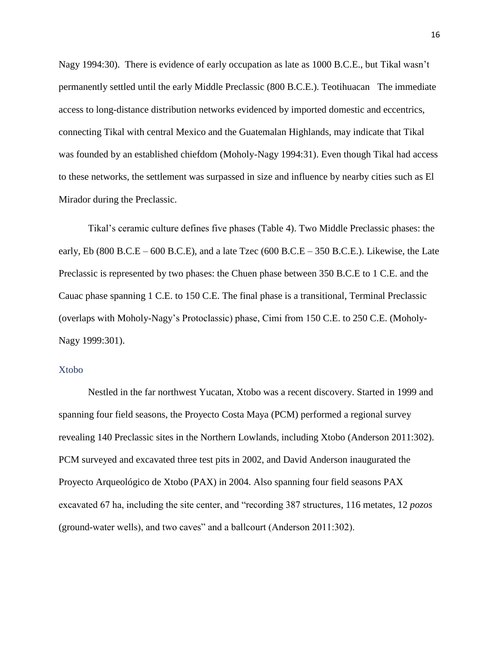Nagy 1994:30). There is evidence of early occupation as late as 1000 B.C.E., but Tikal wasn't permanently settled until the early Middle Preclassic (800 B.C.E.). Teotihuacan The immediate access to long-distance distribution networks evidenced by imported domestic and eccentrics, connecting Tikal with central Mexico and the Guatemalan Highlands, may indicate that Tikal was founded by an established chiefdom (Moholy-Nagy 1994:31). Even though Tikal had access to these networks, the settlement was surpassed in size and influence by nearby cities such as El Mirador during the Preclassic.

Tikal's ceramic culture defines five phases (Table 4). Two Middle Preclassic phases: the early, Eb (800 B.C.E – 600 B.C.E), and a late Tzec (600 B.C.E – 350 B.C.E.). Likewise, the Late Preclassic is represented by two phases: the Chuen phase between 350 B.C.E to 1 C.E. and the Cauac phase spanning 1 C.E. to 150 C.E. The final phase is a transitional, Terminal Preclassic (overlaps with Moholy-Nagy's Protoclassic) phase, Cimi from 150 C.E. to 250 C.E. (Moholy-Nagy 1999:301).

## Xtobo

Nestled in the far northwest Yucatan, Xtobo was a recent discovery. Started in 1999 and spanning four field seasons, the Proyecto Costa Maya (PCM) performed a regional survey revealing 140 Preclassic sites in the Northern Lowlands, including Xtobo (Anderson 2011:302). PCM surveyed and excavated three test pits in 2002, and David Anderson inaugurated the Proyecto Arqueológico de Xtobo (PAX) in 2004. Also spanning four field seasons PAX excavated 67 ha, including the site center, and "recording 387 structures, 116 metates, 12 *pozos* (ground-water wells), and two caves" and a ballcourt (Anderson 2011:302).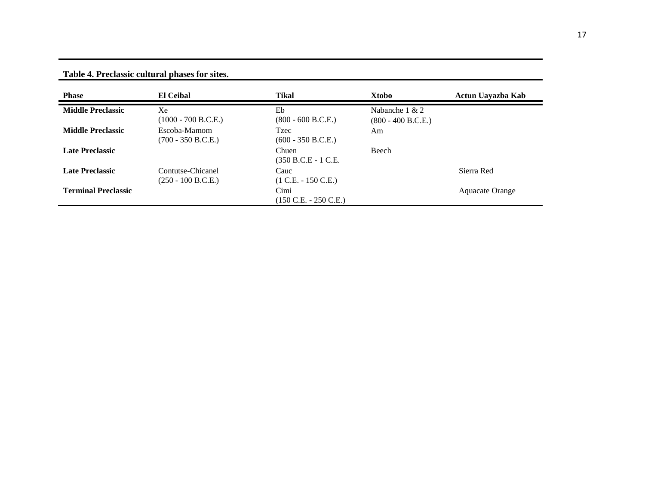**Table 4. Preclassic cultural phases for sites.**

| <b>Phase</b>               | <b>El Ceibal</b>                          | <b>Tikal</b>                                    | Xtobo                                    | Actun Uayazba Kab |
|----------------------------|-------------------------------------------|-------------------------------------------------|------------------------------------------|-------------------|
| <b>Middle Preclassic</b>   | Xe<br>$(1000 - 700 B.C.E.)$               | Eb<br>$(800 - 600 B.C.E.)$                      | Nabanche $1 & 2$<br>$(800 - 400 B.C.E.)$ |                   |
| <b>Middle Preclassic</b>   | Escoba-Mamom<br>$(700 - 350 B.C.E.)$      | <b>Tzec</b><br>$(600 - 350 B.C.E.)$             | Am                                       |                   |
| <b>Late Preclassic</b>     |                                           | Chuen<br>(350 B.C.E - 1 C.E.                    | Beech                                    |                   |
| <b>Late Preclassic</b>     | Contutse-Chicanel<br>$(250 - 100 B.C.E.)$ | Cauc<br>$(1 C.E. - 150 C.E.)$                   |                                          | Sierra Red        |
| <b>Terminal Preclassic</b> |                                           | Cimi<br>$(150 \text{ C.E.} - 250 \text{ C.E.})$ |                                          | Aquacate Orange   |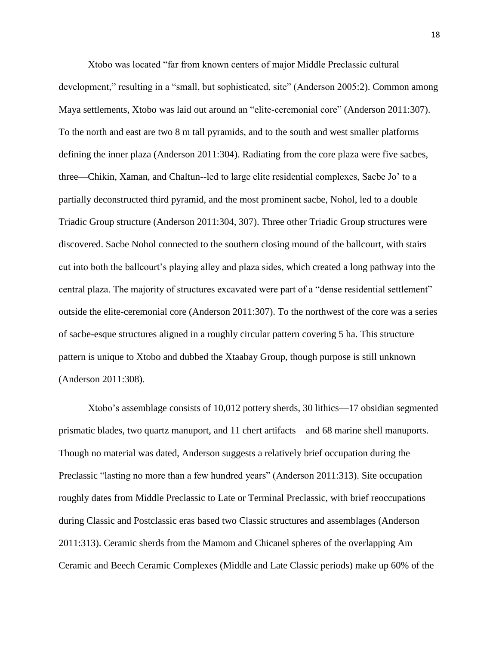Xtobo was located "far from known centers of major Middle Preclassic cultural development," resulting in a "small, but sophisticated, site" (Anderson 2005:2). Common among Maya settlements, Xtobo was laid out around an "elite-ceremonial core" (Anderson 2011:307). To the north and east are two 8 m tall pyramids, and to the south and west smaller platforms defining the inner plaza (Anderson 2011:304). Radiating from the core plaza were five sacbes, three—Chikin, Xaman, and Chaltun--led to large elite residential complexes, Sacbe Jo' to a partially deconstructed third pyramid, and the most prominent sacbe, Nohol, led to a double Triadic Group structure (Anderson 2011:304, 307). Three other Triadic Group structures were discovered. Sacbe Nohol connected to the southern closing mound of the ballcourt, with stairs cut into both the ballcourt's playing alley and plaza sides, which created a long pathway into the central plaza. The majority of structures excavated were part of a "dense residential settlement" outside the elite-ceremonial core (Anderson 2011:307). To the northwest of the core was a series of sacbe-esque structures aligned in a roughly circular pattern covering 5 ha. This structure pattern is unique to Xtobo and dubbed the Xtaabay Group, though purpose is still unknown (Anderson 2011:308).

Xtobo's assemblage consists of 10,012 pottery sherds, 30 lithics—17 obsidian segmented prismatic blades, two quartz manuport, and 11 chert artifacts—and 68 marine shell manuports. Though no material was dated, Anderson suggests a relatively brief occupation during the Preclassic "lasting no more than a few hundred years" (Anderson 2011:313). Site occupation roughly dates from Middle Preclassic to Late or Terminal Preclassic, with brief reoccupations during Classic and Postclassic eras based two Classic structures and assemblages (Anderson 2011:313). Ceramic sherds from the Mamom and Chicanel spheres of the overlapping Am Ceramic and Beech Ceramic Complexes (Middle and Late Classic periods) make up 60% of the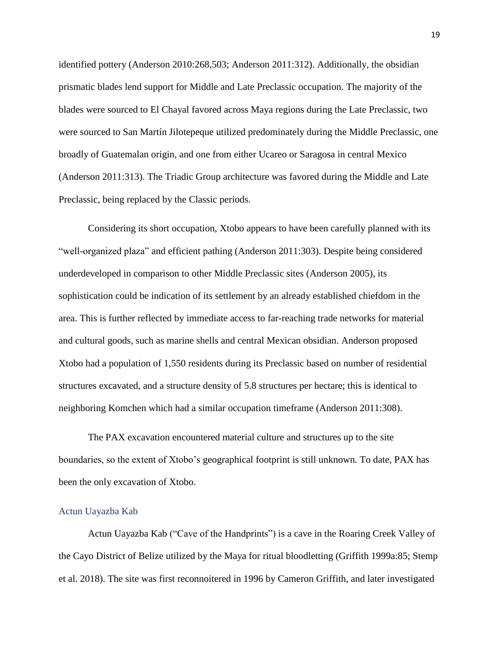identified pottery (Anderson 2010:268,503; Anderson 2011:312). Additionally, the obsidian prismatic blades lend support for Middle and Late Preclassic occupation. The majority of the blades were sourced to El Chayal favored across Maya regions during the Late Preclassic, two were sourced to San Martín Jilotepeque utilized predominately during the Middle Preclassic, one broadly of Guatemalan origin, and one from either Ucareo or Saragosa in central Mexico (Anderson 2011:313). The Triadic Group architecture was favored during the Middle and Late Preclassic, being replaced by the Classic periods.

Considering its short occupation, Xtobo appears to have been carefully planned with its "well-organized plaza" and efficient pathing (Anderson 2011:303). Despite being considered underdeveloped in comparison to other Middle Preclassic sites (Anderson 2005), its sophistication could be indication of its settlement by an already established chiefdom in the area. This is further reflected by immediate access to far-reaching trade networks for material and cultural goods, such as marine shells and central Mexican obsidian. Anderson proposed Xtobo had a population of 1,550 residents during its Preclassic based on number of residential structures excavated, and a structure density of 5.8 structures per hectare; this is identical to neighboring Komchen which had a similar occupation timeframe (Anderson 2011:308).

The PAX excavation encountered material culture and structures up to the site boundaries, so the extent of Xtobo's geographical footprint is still unknown. To date, PAX has been the only excavation of Xtobo.

#### Actun Uayazba Kab

Actun Uayazba Kab ("Cave of the Handprints") is a cave in the Roaring Creek Valley of the Cayo District of Belize utilized by the Maya for ritual bloodletting (Griffith 1999a:85; Stemp et al. 2018). The site was first reconnoitered in 1996 by Cameron Griffith, and later investigated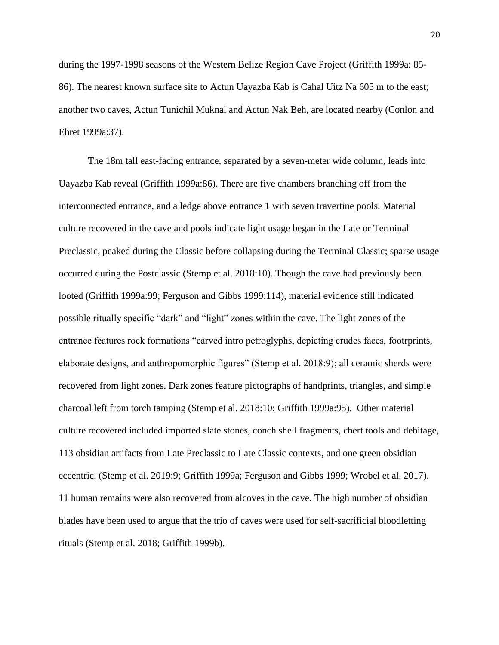during the 1997-1998 seasons of the Western Belize Region Cave Project (Griffith 1999a: 85- 86). The nearest known surface site to Actun Uayazba Kab is Cahal Uitz Na 605 m to the east; another two caves, Actun Tunichil Muknal and Actun Nak Beh, are located nearby (Conlon and Ehret 1999a:37).

The 18m tall east-facing entrance, separated by a seven-meter wide column, leads into Uayazba Kab reveal (Griffith 1999a:86). There are five chambers branching off from the interconnected entrance, and a ledge above entrance 1 with seven travertine pools. Material culture recovered in the cave and pools indicate light usage began in the Late or Terminal Preclassic, peaked during the Classic before collapsing during the Terminal Classic; sparse usage occurred during the Postclassic (Stemp et al. 2018:10). Though the cave had previously been looted (Griffith 1999a:99; Ferguson and Gibbs 1999:114), material evidence still indicated possible ritually specific "dark" and "light" zones within the cave. The light zones of the entrance features rock formations "carved intro petroglyphs, depicting crudes faces, footrprints, elaborate designs, and anthropomorphic figures" (Stemp et al. 2018:9); all ceramic sherds were recovered from light zones. Dark zones feature pictographs of handprints, triangles, and simple charcoal left from torch tamping (Stemp et al. 2018:10; Griffith 1999a:95). Other material culture recovered included imported slate stones, conch shell fragments, chert tools and debitage, 113 obsidian artifacts from Late Preclassic to Late Classic contexts, and one green obsidian eccentric. (Stemp et al. 2019:9; Griffith 1999a; Ferguson and Gibbs 1999; Wrobel et al. 2017). 11 human remains were also recovered from alcoves in the cave. The high number of obsidian blades have been used to argue that the trio of caves were used for self-sacrificial bloodletting rituals (Stemp et al. 2018; Griffith 1999b).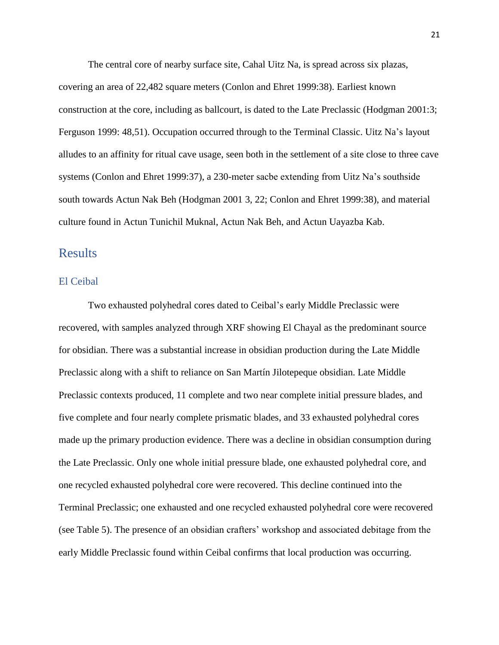The central core of nearby surface site, Cahal Uitz Na, is spread across six plazas, covering an area of 22,482 square meters (Conlon and Ehret 1999:38). Earliest known construction at the core, including as ballcourt, is dated to the Late Preclassic (Hodgman 2001:3; Ferguson 1999: 48,51). Occupation occurred through to the Terminal Classic. Uitz Na's layout alludes to an affinity for ritual cave usage, seen both in the settlement of a site close to three cave systems (Conlon and Ehret 1999:37), a 230-meter sacbe extending from Uitz Na's southside south towards Actun Nak Beh (Hodgman 2001 3, 22; Conlon and Ehret 1999:38), and material culture found in Actun Tunichil Muknal, Actun Nak Beh, and Actun Uayazba Kab.

# Results

#### El Ceibal

Two exhausted polyhedral cores dated to Ceibal's early Middle Preclassic were recovered, with samples analyzed through XRF showing El Chayal as the predominant source for obsidian. There was a substantial increase in obsidian production during the Late Middle Preclassic along with a shift to reliance on San Martín Jilotepeque obsidian. Late Middle Preclassic contexts produced, 11 complete and two near complete initial pressure blades, and five complete and four nearly complete prismatic blades, and 33 exhausted polyhedral cores made up the primary production evidence. There was a decline in obsidian consumption during the Late Preclassic. Only one whole initial pressure blade, one exhausted polyhedral core, and one recycled exhausted polyhedral core were recovered. This decline continued into the Terminal Preclassic; one exhausted and one recycled exhausted polyhedral core were recovered (see Table 5). The presence of an obsidian crafters' workshop and associated debitage from the early Middle Preclassic found within Ceibal confirms that local production was occurring.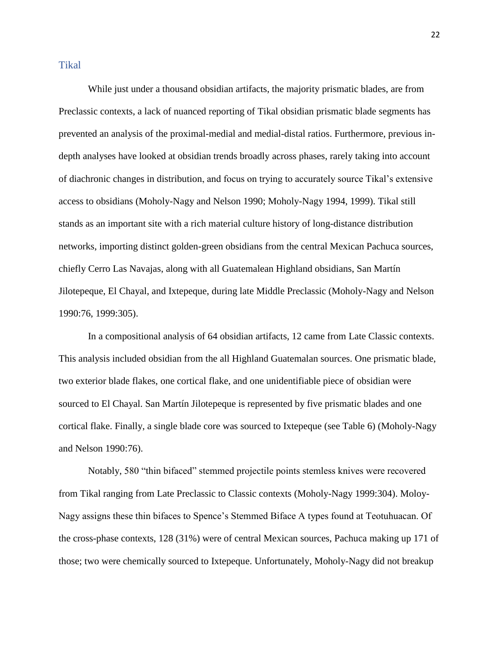# Tikal

While just under a thousand obsidian artifacts, the majority prismatic blades, are from Preclassic contexts, a lack of nuanced reporting of Tikal obsidian prismatic blade segments has prevented an analysis of the proximal-medial and medial-distal ratios. Furthermore, previous indepth analyses have looked at obsidian trends broadly across phases, rarely taking into account of diachronic changes in distribution, and focus on trying to accurately source Tikal's extensive access to obsidians (Moholy-Nagy and Nelson 1990; Moholy-Nagy 1994, 1999). Tikal still stands as an important site with a rich material culture history of long-distance distribution networks, importing distinct golden-green obsidians from the central Mexican Pachuca sources, chiefly Cerro Las Navajas, along with all Guatemalean Highland obsidians, San Martín Jilotepeque, El Chayal, and Ixtepeque, during late Middle Preclassic (Moholy-Nagy and Nelson 1990:76, 1999:305).

In a compositional analysis of 64 obsidian artifacts, 12 came from Late Classic contexts. This analysis included obsidian from the all Highland Guatemalan sources. One prismatic blade, two exterior blade flakes, one cortical flake, and one unidentifiable piece of obsidian were sourced to El Chayal. San Martín Jilotepeque is represented by five prismatic blades and one cortical flake. Finally, a single blade core was sourced to Ixtepeque (see Table 6) (Moholy-Nagy and Nelson 1990:76).

Notably, 580 "thin bifaced" stemmed projectile points stemless knives were recovered from Tikal ranging from Late Preclassic to Classic contexts (Moholy-Nagy 1999:304). Moloy-Nagy assigns these thin bifaces to Spence's Stemmed Biface A types found at Teotuhuacan. Of the cross-phase contexts, 128 (31%) were of central Mexican sources, Pachuca making up 171 of those; two were chemically sourced to Ixtepeque. Unfortunately, Moholy-Nagy did not breakup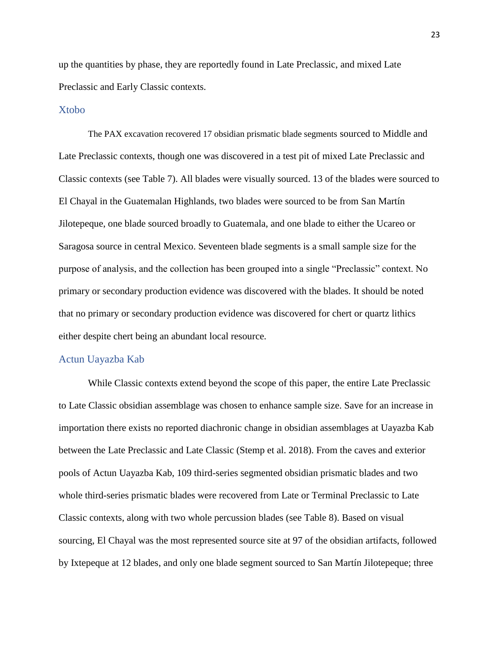up the quantities by phase, they are reportedly found in Late Preclassic, and mixed Late Preclassic and Early Classic contexts.

#### Xtobo

The PAX excavation recovered 17 obsidian prismatic blade segments sourced to Middle and Late Preclassic contexts, though one was discovered in a test pit of mixed Late Preclassic and Classic contexts (see Table 7). All blades were visually sourced. 13 of the blades were sourced to El Chayal in the Guatemalan Highlands, two blades were sourced to be from San Martín Jilotepeque, one blade sourced broadly to Guatemala, and one blade to either the Ucareo or Saragosa source in central Mexico. Seventeen blade segments is a small sample size for the purpose of analysis, and the collection has been grouped into a single "Preclassic" context. No primary or secondary production evidence was discovered with the blades. It should be noted that no primary or secondary production evidence was discovered for chert or quartz lithics either despite chert being an abundant local resource.

#### Actun Uayazba Kab

While Classic contexts extend beyond the scope of this paper, the entire Late Preclassic to Late Classic obsidian assemblage was chosen to enhance sample size. Save for an increase in importation there exists no reported diachronic change in obsidian assemblages at Uayazba Kab between the Late Preclassic and Late Classic (Stemp et al. 2018). From the caves and exterior pools of Actun Uayazba Kab, 109 third-series segmented obsidian prismatic blades and two whole third-series prismatic blades were recovered from Late or Terminal Preclassic to Late Classic contexts, along with two whole percussion blades (see Table 8). Based on visual sourcing, El Chayal was the most represented source site at 97 of the obsidian artifacts, followed by Ixtepeque at 12 blades, and only one blade segment sourced to San Martín Jilotepeque; three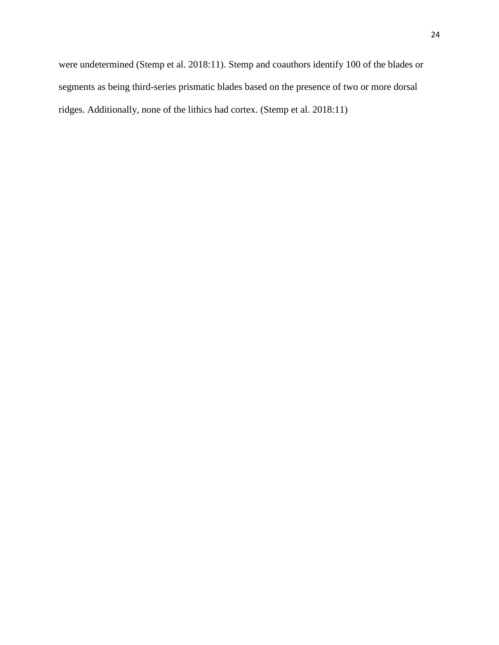were undetermined (Stemp et al. 2018:11). Stemp and coauthors identify 100 of the blades or segments as being third-series prismatic blades based on the presence of two or more dorsal ridges. Additionally, none of the lithics had cortex. (Stemp et al. 2018:11)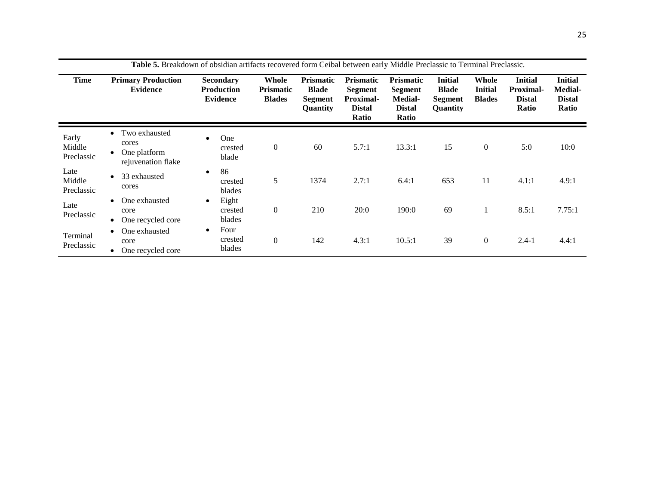|                               | <b>Table 5.</b> Breakdown of obsidian artifacts recovered form Ceibal between early Middle Preclassic to Terminal Preclassic. |                                                          |                                            |                                                                |                                                                                  |                                                                  |                                                                     |                                          |                                                              |                                                            |
|-------------------------------|-------------------------------------------------------------------------------------------------------------------------------|----------------------------------------------------------|--------------------------------------------|----------------------------------------------------------------|----------------------------------------------------------------------------------|------------------------------------------------------------------|---------------------------------------------------------------------|------------------------------------------|--------------------------------------------------------------|------------------------------------------------------------|
| Time                          | <b>Primary Production</b><br><b>Evidence</b>                                                                                  | <b>Secondary</b><br><b>Production</b><br><b>Evidence</b> | Whole<br><b>Prismatic</b><br><b>Blades</b> | <b>Prismatic</b><br><b>Blade</b><br>Segment<br><b>Ouantity</b> | <b>Prismatic</b><br><b>Segment</b><br><b>Proximal-</b><br><b>Distal</b><br>Ratio | <b>Prismatic</b><br>Segment<br>Medial-<br><b>Distal</b><br>Ratio | <b>Initial</b><br><b>Blade</b><br><b>Segment</b><br><b>Quantity</b> | Whole<br><b>Initial</b><br><b>Blades</b> | <b>Initial</b><br><b>Proximal-</b><br><b>Distal</b><br>Ratio | <b>Initial</b><br><b>Medial-</b><br><b>Distal</b><br>Ratio |
| Early<br>Middle<br>Preclassic | Two exhausted<br>$\bullet$<br>cores<br>One platform<br>$\bullet$<br>rejuvenation flake                                        | One<br>crested<br>blade                                  | $\boldsymbol{0}$                           | 60                                                             | 5.7:1                                                                            | 13.3:1                                                           | 15                                                                  | $\boldsymbol{0}$                         | 5:0                                                          | 10:0                                                       |
| Late<br>Middle<br>Preclassic  | 33 exhausted<br>$\bullet$<br>cores                                                                                            | 86<br>$\bullet$<br>crested<br>blades                     | 5                                          | 1374                                                           | 2.7:1                                                                            | 6.4:1                                                            | 653                                                                 | 11                                       | 4.1:1                                                        | 4.9:1                                                      |
| Late<br>Preclassic            | One exhausted<br>$\bullet$<br>core<br>One recycled core<br>$\bullet$                                                          | Eight<br>$\bullet$<br>crested<br>blades                  | $\boldsymbol{0}$                           | 210                                                            | 20:0                                                                             | 190:0                                                            | 69                                                                  |                                          | 8.5:1                                                        | 7.75:1                                                     |
| Terminal<br>Preclassic        | One exhausted<br>$\bullet$<br>core<br>One recycled core                                                                       | Four<br>$\bullet$<br>crested<br>blades                   | $\boldsymbol{0}$                           | 142                                                            | 4.3:1                                                                            | 10.5:1                                                           | 39                                                                  | $\boldsymbol{0}$                         | $2.4 - 1$                                                    | 4.4:1                                                      |

**Table 5.** Breakdown of obsidian artifacts recovered form Ceibal between early Middle Preclassic to Terminal Preclassic.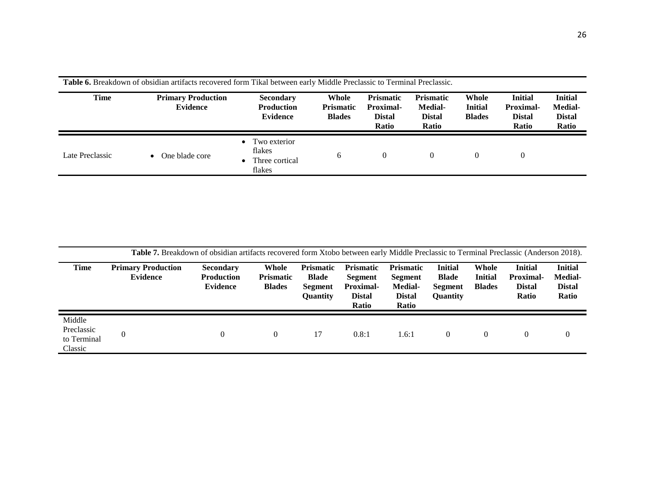| <b>Time</b>     | <b>Primary Production</b><br><b>Evidence</b> | <b>Secondary</b><br><b>Production</b><br><b>Evidence</b> | Whole<br>Prismatic<br><b>Blades</b> | <b>Prismatic</b><br><b>Proximal-</b><br><b>Distal</b><br><b>Ratio</b> | <b>Prismatic</b><br><b>Medial-</b><br><b>Distal</b><br>Ratio | Whole<br><b>Initial</b><br><b>Blades</b> | <b>Initial</b><br>Proximal-<br><b>Distal</b><br><b>Ratio</b> | <b>Initial</b><br><b>Medial-</b><br><b>Distal</b><br>Ratio |
|-----------------|----------------------------------------------|----------------------------------------------------------|-------------------------------------|-----------------------------------------------------------------------|--------------------------------------------------------------|------------------------------------------|--------------------------------------------------------------|------------------------------------------------------------|
| Late Preclassic | One blade core<br>$\bullet$                  | Two exterior<br>flakes<br>Three cortical<br>flakes       | 6                                   | $\theta$                                                              |                                                              | $\theta$                                 | $\overline{0}$                                               |                                                            |

**Table 6.** Breakdown of obsidian artifacts recovered form Tikal between early Middle Preclassic to Terminal Preclassic.

|                                                | <b>Table 7.</b> Breakdown of obsidian artifacts recovered form Xtobo between early Middle Preclassic to Terminal Preclassic (Anderson 2018). |                                                          |                                            |                                                                       |                                                                           |                                                                         |                                                              |                                          |                                                                     |                                                            |
|------------------------------------------------|----------------------------------------------------------------------------------------------------------------------------------------------|----------------------------------------------------------|--------------------------------------------|-----------------------------------------------------------------------|---------------------------------------------------------------------------|-------------------------------------------------------------------------|--------------------------------------------------------------|------------------------------------------|---------------------------------------------------------------------|------------------------------------------------------------|
| Time                                           | <b>Primary Production</b><br>Evidence                                                                                                        | <b>Secondary</b><br><b>Production</b><br><b>Evidence</b> | Whole<br><b>Prismatic</b><br><b>Blades</b> | <b>Prismatic</b><br><b>Blade</b><br><b>Segment</b><br><b>Ouantity</b> | <b>Prismatic</b><br>Segment<br><b>Proximal-</b><br><b>Distal</b><br>Ratio | <b>Prismatic</b><br>Segment<br><b>Medial-</b><br><b>Distal</b><br>Ratio | <b>Initial</b><br><b>Blade</b><br><b>Segment</b><br>Quantity | Whole<br><b>Initial</b><br><b>Blades</b> | <b>Initial</b><br><b>Proximal-</b><br><b>Distal</b><br><b>Ratio</b> | <b>Initial</b><br><b>Medial-</b><br><b>Distal</b><br>Ratio |
| Middle<br>Preclassic<br>to Terminal<br>Classic |                                                                                                                                              |                                                          | $\Omega$                                   | 17                                                                    | 0.8:1                                                                     | 1.6:1                                                                   | $\theta$                                                     | $\Omega$                                 | $\Omega$                                                            | $\Omega$                                                   |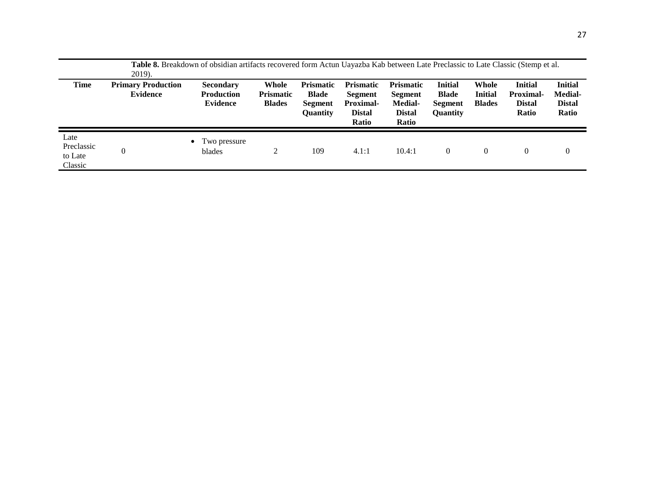|                                          | <b>Table 8.</b> Breakdown of obsidian artifacts recovered form Actun Uayazba Kab between Late Preclassic to Late Classic (Stemp et al.<br>2019). |                                                          |                                            |                                                                       |                                                                                  |                                                                         |                                                              |                                          |                                                                     |                                                            |
|------------------------------------------|--------------------------------------------------------------------------------------------------------------------------------------------------|----------------------------------------------------------|--------------------------------------------|-----------------------------------------------------------------------|----------------------------------------------------------------------------------|-------------------------------------------------------------------------|--------------------------------------------------------------|------------------------------------------|---------------------------------------------------------------------|------------------------------------------------------------|
| <b>Time</b>                              | <b>Primary Production</b><br><b>Evidence</b>                                                                                                     | <b>Secondary</b><br><b>Production</b><br><b>Evidence</b> | Whole<br><b>Prismatic</b><br><b>Blades</b> | <b>Prismatic</b><br><b>Blade</b><br><b>Segment</b><br><b>Ouantity</b> | <b>Prismatic</b><br><b>Segment</b><br><b>Proximal-</b><br><b>Distal</b><br>Ratio | <b>Prismatic</b><br>Segment<br><b>Medial-</b><br><b>Distal</b><br>Ratio | <b>Initial</b><br><b>Blade</b><br><b>Segment</b><br>Quantity | Whole<br><b>Initial</b><br><b>Blades</b> | <b>Initial</b><br><b>Proximal-</b><br><b>Distal</b><br><b>Ratio</b> | <b>Initial</b><br><b>Medial-</b><br><b>Distal</b><br>Ratio |
| Late<br>Preclassic<br>to Late<br>Classic | 0                                                                                                                                                | I wo pressure<br>blades                                  |                                            | 109                                                                   | 4.1:1                                                                            | 10.4:1                                                                  | 0                                                            | $\theta$                                 | $\theta$                                                            | $\theta$                                                   |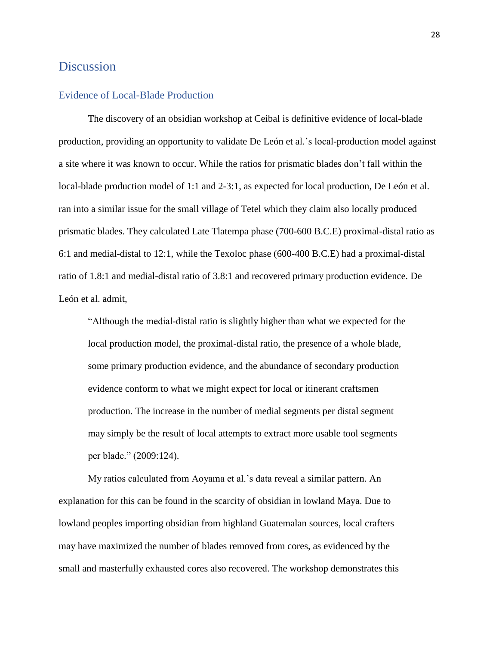# Discussion

# Evidence of Local-Blade Production

The discovery of an obsidian workshop at Ceibal is definitive evidence of local-blade production, providing an opportunity to validate De León et al.'s local-production model against a site where it was known to occur. While the ratios for prismatic blades don't fall within the local-blade production model of 1:1 and 2-3:1, as expected for local production, De León et al. ran into a similar issue for the small village of Tetel which they claim also locally produced prismatic blades. They calculated Late Tlatempa phase (700-600 B.C.E) proximal-distal ratio as 6:1 and medial-distal to 12:1, while the Texoloc phase (600-400 B.C.E) had a proximal-distal ratio of 1.8:1 and medial-distal ratio of 3.8:1 and recovered primary production evidence. De León et al. admit,

"Although the medial-distal ratio is slightly higher than what we expected for the local production model, the proximal-distal ratio, the presence of a whole blade, some primary production evidence, and the abundance of secondary production evidence conform to what we might expect for local or itinerant craftsmen production. The increase in the number of medial segments per distal segment may simply be the result of local attempts to extract more usable tool segments per blade." (2009:124).

My ratios calculated from Aoyama et al.'s data reveal a similar pattern. An explanation for this can be found in the scarcity of obsidian in lowland Maya. Due to lowland peoples importing obsidian from highland Guatemalan sources, local crafters may have maximized the number of blades removed from cores, as evidenced by the small and masterfully exhausted cores also recovered. The workshop demonstrates this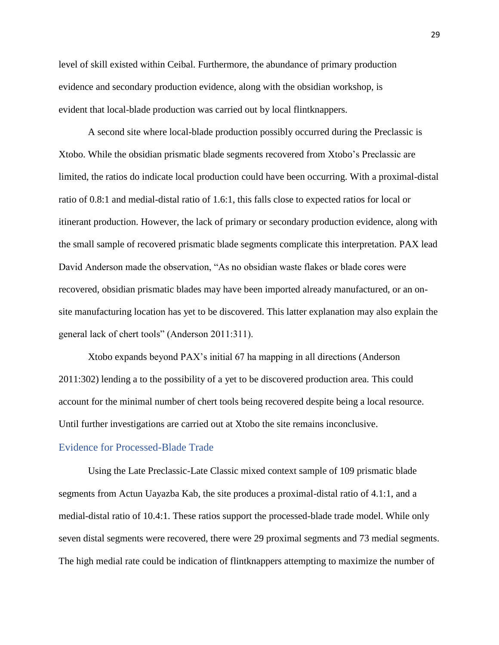level of skill existed within Ceibal. Furthermore, the abundance of primary production evidence and secondary production evidence, along with the obsidian workshop, is evident that local-blade production was carried out by local flintknappers.

A second site where local-blade production possibly occurred during the Preclassic is Xtobo. While the obsidian prismatic blade segments recovered from Xtobo's Preclassic are limited, the ratios do indicate local production could have been occurring. With a proximal-distal ratio of 0.8:1 and medial-distal ratio of 1.6:1, this falls close to expected ratios for local or itinerant production. However, the lack of primary or secondary production evidence, along with the small sample of recovered prismatic blade segments complicate this interpretation. PAX lead David Anderson made the observation, "As no obsidian waste flakes or blade cores were recovered, obsidian prismatic blades may have been imported already manufactured, or an onsite manufacturing location has yet to be discovered. This latter explanation may also explain the general lack of chert tools" (Anderson 2011:311).

Xtobo expands beyond PAX's initial 67 ha mapping in all directions (Anderson 2011:302) lending a to the possibility of a yet to be discovered production area. This could account for the minimal number of chert tools being recovered despite being a local resource. Until further investigations are carried out at Xtobo the site remains inconclusive.

#### Evidence for Processed-Blade Trade

Using the Late Preclassic-Late Classic mixed context sample of 109 prismatic blade segments from Actun Uayazba Kab, the site produces a proximal-distal ratio of 4.1:1, and a medial-distal ratio of 10.4:1. These ratios support the processed-blade trade model. While only seven distal segments were recovered, there were 29 proximal segments and 73 medial segments. The high medial rate could be indication of flintknappers attempting to maximize the number of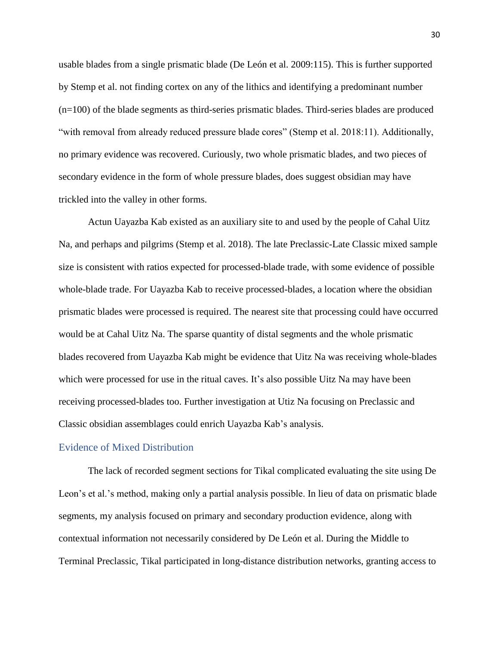usable blades from a single prismatic blade (De León et al. 2009:115). This is further supported by Stemp et al. not finding cortex on any of the lithics and identifying a predominant number (n=100) of the blade segments as third-series prismatic blades. Third-series blades are produced "with removal from already reduced pressure blade cores" (Stemp et al. 2018:11). Additionally, no primary evidence was recovered. Curiously, two whole prismatic blades, and two pieces of secondary evidence in the form of whole pressure blades, does suggest obsidian may have trickled into the valley in other forms.

Actun Uayazba Kab existed as an auxiliary site to and used by the people of Cahal Uitz Na, and perhaps and pilgrims (Stemp et al. 2018). The late Preclassic-Late Classic mixed sample size is consistent with ratios expected for processed-blade trade, with some evidence of possible whole-blade trade. For Uayazba Kab to receive processed-blades, a location where the obsidian prismatic blades were processed is required. The nearest site that processing could have occurred would be at Cahal Uitz Na. The sparse quantity of distal segments and the whole prismatic blades recovered from Uayazba Kab might be evidence that Uitz Na was receiving whole-blades which were processed for use in the ritual caves. It's also possible Uitz Na may have been receiving processed-blades too. Further investigation at Utiz Na focusing on Preclassic and Classic obsidian assemblages could enrich Uayazba Kab's analysis.

## Evidence of Mixed Distribution

The lack of recorded segment sections for Tikal complicated evaluating the site using De Leon's et al.'s method, making only a partial analysis possible. In lieu of data on prismatic blade segments, my analysis focused on primary and secondary production evidence, along with contextual information not necessarily considered by De León et al. During the Middle to Terminal Preclassic, Tikal participated in long-distance distribution networks, granting access to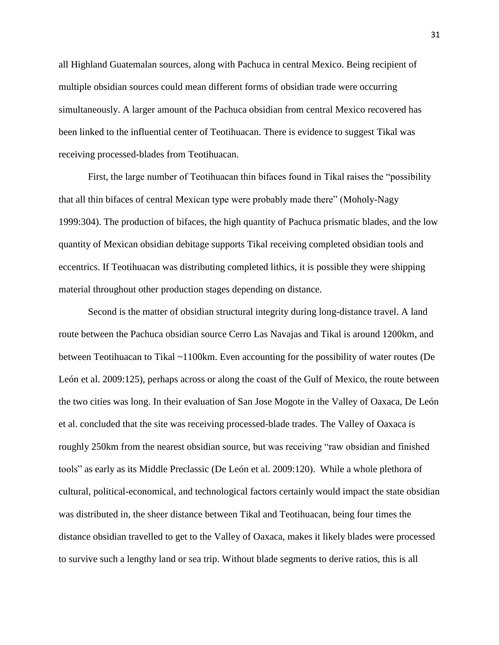all Highland Guatemalan sources, along with Pachuca in central Mexico. Being recipient of multiple obsidian sources could mean different forms of obsidian trade were occurring simultaneously. A larger amount of the Pachuca obsidian from central Mexico recovered has been linked to the influential center of Teotihuacan. There is evidence to suggest Tikal was receiving processed-blades from Teotihuacan.

First, the large number of Teotihuacan thin bifaces found in Tikal raises the "possibility that all thin bifaces of central Mexican type were probably made there" (Moholy-Nagy 1999:304). The production of bifaces, the high quantity of Pachuca prismatic blades, and the low quantity of Mexican obsidian debitage supports Tikal receiving completed obsidian tools and eccentrics. If Teotihuacan was distributing completed lithics, it is possible they were shipping material throughout other production stages depending on distance.

Second is the matter of obsidian structural integrity during long-distance travel. A land route between the Pachuca obsidian source Cerro Las Navajas and Tikal is around 1200km, and between Teotihuacan to Tikal ~1100km. Even accounting for the possibility of water routes (De León et al. 2009:125), perhaps across or along the coast of the Gulf of Mexico, the route between the two cities was long. In their evaluation of San Jose Mogote in the Valley of Oaxaca, De León et al. concluded that the site was receiving processed-blade trades. The Valley of Oaxaca is roughly 250km from the nearest obsidian source, but was receiving "raw obsidian and finished tools" as early as its Middle Preclassic (De León et al. 2009:120). While a whole plethora of cultural, political-economical, and technological factors certainly would impact the state obsidian was distributed in, the sheer distance between Tikal and Teotihuacan, being four times the distance obsidian travelled to get to the Valley of Oaxaca, makes it likely blades were processed to survive such a lengthy land or sea trip. Without blade segments to derive ratios, this is all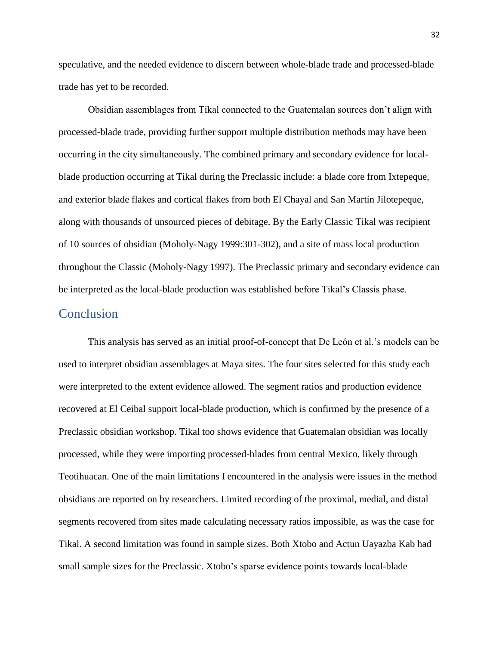speculative, and the needed evidence to discern between whole-blade trade and processed-blade trade has yet to be recorded.

Obsidian assemblages from Tikal connected to the Guatemalan sources don't align with processed-blade trade, providing further support multiple distribution methods may have been occurring in the city simultaneously. The combined primary and secondary evidence for localblade production occurring at Tikal during the Preclassic include: a blade core from Ixtepeque, and exterior blade flakes and cortical flakes from both El Chayal and San Martín Jilotepeque, along with thousands of unsourced pieces of debitage. By the Early Classic Tikal was recipient of 10 sources of obsidian (Moholy-Nagy 1999:301-302), and a site of mass local production throughout the Classic (Moholy-Nagy 1997). The Preclassic primary and secondary evidence can be interpreted as the local-blade production was established before Tikal's Classis phase.

# **Conclusion**

This analysis has served as an initial proof-of-concept that De León et al.'s models can be used to interpret obsidian assemblages at Maya sites. The four sites selected for this study each were interpreted to the extent evidence allowed. The segment ratios and production evidence recovered at El Ceibal support local-blade production, which is confirmed by the presence of a Preclassic obsidian workshop. Tikal too shows evidence that Guatemalan obsidian was locally processed, while they were importing processed-blades from central Mexico, likely through Teotihuacan. One of the main limitations I encountered in the analysis were issues in the method obsidians are reported on by researchers. Limited recording of the proximal, medial, and distal segments recovered from sites made calculating necessary ratios impossible, as was the case for Tikal. A second limitation was found in sample sizes. Both Xtobo and Actun Uayazba Kab had small sample sizes for the Preclassic. Xtobo's sparse evidence points towards local-blade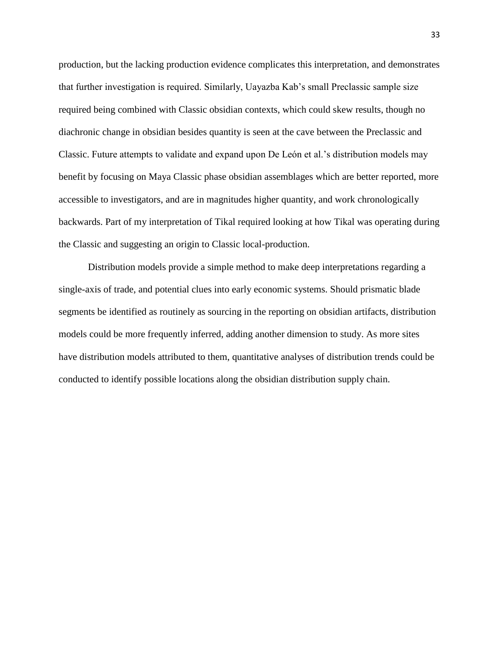production, but the lacking production evidence complicates this interpretation, and demonstrates that further investigation is required. Similarly, Uayazba Kab's small Preclassic sample size required being combined with Classic obsidian contexts, which could skew results, though no diachronic change in obsidian besides quantity is seen at the cave between the Preclassic and Classic. Future attempts to validate and expand upon De León et al.'s distribution models may benefit by focusing on Maya Classic phase obsidian assemblages which are better reported, more accessible to investigators, and are in magnitudes higher quantity, and work chronologically backwards. Part of my interpretation of Tikal required looking at how Tikal was operating during the Classic and suggesting an origin to Classic local-production.

Distribution models provide a simple method to make deep interpretations regarding a single-axis of trade, and potential clues into early economic systems. Should prismatic blade segments be identified as routinely as sourcing in the reporting on obsidian artifacts, distribution models could be more frequently inferred, adding another dimension to study. As more sites have distribution models attributed to them, quantitative analyses of distribution trends could be conducted to identify possible locations along the obsidian distribution supply chain.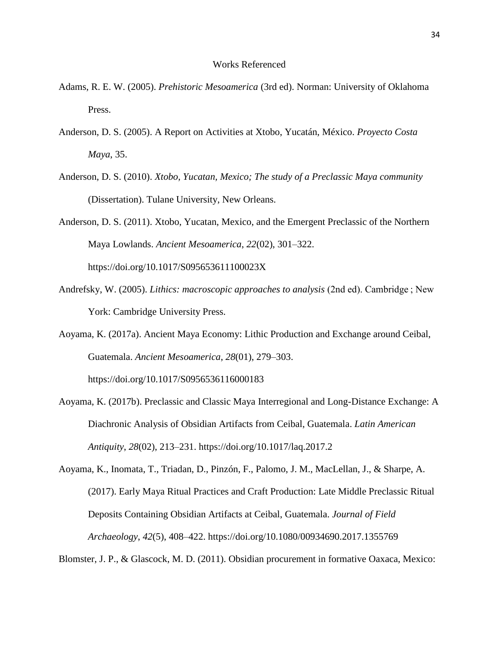#### Works Referenced

- Adams, R. E. W. (2005). *Prehistoric Mesoamerica* (3rd ed). Norman: University of Oklahoma Press.
- Anderson, D. S. (2005). A Report on Activities at Xtobo, Yucatán, México. *Proyecto Costa Maya*, 35.
- Anderson, D. S. (2010). *Xtobo, Yucatan, Mexico; The study of a Preclassic Maya community* (Dissertation). Tulane University, New Orleans.

Anderson, D. S. (2011). Xtobo, Yucatan, Mexico, and the Emergent Preclassic of the Northern Maya Lowlands. *Ancient Mesoamerica*, *22*(02), 301–322.

https://doi.org/10.1017/S095653611100023X

Andrefsky, W. (2005). *Lithics: macroscopic approaches to analysis* (2nd ed). Cambridge ; New York: Cambridge University Press.

Aoyama, K. (2017a). Ancient Maya Economy: Lithic Production and Exchange around Ceibal, Guatemala. *Ancient Mesoamerica*, *28*(01), 279–303.

https://doi.org/10.1017/S0956536116000183

Aoyama, K. (2017b). Preclassic and Classic Maya Interregional and Long-Distance Exchange: A Diachronic Analysis of Obsidian Artifacts from Ceibal, Guatemala. *Latin American Antiquity*, *28*(02), 213–231. https://doi.org/10.1017/laq.2017.2

Aoyama, K., Inomata, T., Triadan, D., Pinzón, F., Palomo, J. M., MacLellan, J., & Sharpe, A. (2017). Early Maya Ritual Practices and Craft Production: Late Middle Preclassic Ritual Deposits Containing Obsidian Artifacts at Ceibal, Guatemala. *Journal of Field Archaeology*, *42*(5), 408–422. https://doi.org/10.1080/00934690.2017.1355769

Blomster, J. P., & Glascock, M. D. (2011). Obsidian procurement in formative Oaxaca, Mexico: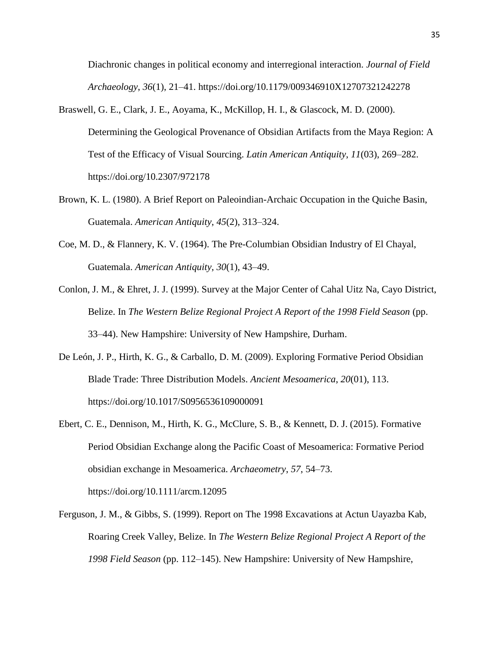Diachronic changes in political economy and interregional interaction. *Journal of Field Archaeology*, *36*(1), 21–41. https://doi.org/10.1179/009346910X12707321242278

- Braswell, G. E., Clark, J. E., Aoyama, K., McKillop, H. I., & Glascock, M. D. (2000). Determining the Geological Provenance of Obsidian Artifacts from the Maya Region: A Test of the Efficacy of Visual Sourcing. *Latin American Antiquity*, *11*(03), 269–282. https://doi.org/10.2307/972178
- Brown, K. L. (1980). A Brief Report on Paleoindian-Archaic Occupation in the Quiche Basin, Guatemala. *American Antiquity*, *45*(2), 313–324.
- Coe, M. D., & Flannery, K. V. (1964). The Pre-Columbian Obsidian Industry of El Chayal, Guatemala. *American Antiquity*, *30*(1), 43–49.
- Conlon, J. M., & Ehret, J. J. (1999). Survey at the Major Center of Cahal Uitz Na, Cayo District, Belize. In *The Western Belize Regional Project A Report of the 1998 Field Season* (pp. 33–44). New Hampshire: University of New Hampshire, Durham.
- De León, J. P., Hirth, K. G., & Carballo, D. M. (2009). Exploring Formative Period Obsidian Blade Trade: Three Distribution Models. *Ancient Mesoamerica*, *20*(01), 113. https://doi.org/10.1017/S0956536109000091
- Ebert, C. E., Dennison, M., Hirth, K. G., McClure, S. B., & Kennett, D. J. (2015). Formative Period Obsidian Exchange along the Pacific Coast of Mesoamerica: Formative Period obsidian exchange in Mesoamerica. *Archaeometry*, *57*, 54–73. https://doi.org/10.1111/arcm.12095
- Ferguson, J. M., & Gibbs, S. (1999). Report on The 1998 Excavations at Actun Uayazba Kab, Roaring Creek Valley, Belize. In *The Western Belize Regional Project A Report of the 1998 Field Season* (pp. 112–145). New Hampshire: University of New Hampshire,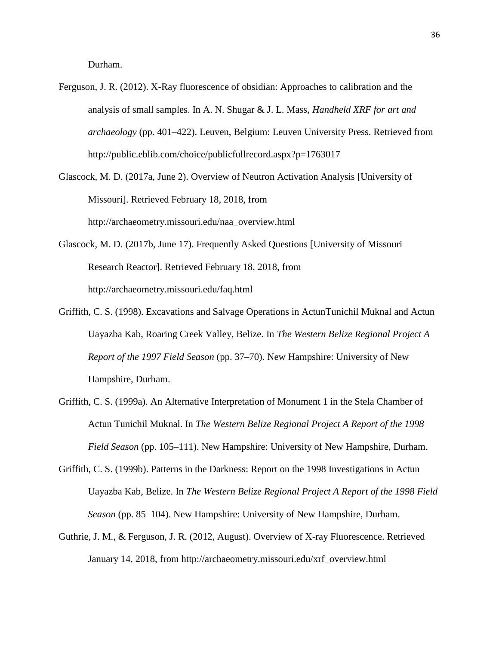Durham.

- Ferguson, J. R. (2012). X-Ray fluorescence of obsidian: Approaches to calibration and the analysis of small samples. In A. N. Shugar & J. L. Mass, *Handheld XRF for art and archaeology* (pp. 401–422). Leuven, Belgium: Leuven University Press. Retrieved from http://public.eblib.com/choice/publicfullrecord.aspx?p=1763017
- Glascock, M. D. (2017a, June 2). Overview of Neutron Activation Analysis [University of Missouri]. Retrieved February 18, 2018, from http://archaeometry.missouri.edu/naa\_overview.html
- Glascock, M. D. (2017b, June 17). Frequently Asked Questions [University of Missouri Research Reactor]. Retrieved February 18, 2018, from http://archaeometry.missouri.edu/faq.html
- Griffith, C. S. (1998). Excavations and Salvage Operations in ActunTunichil Muknal and Actun Uayazba Kab, Roaring Creek Valley, Belize. In *The Western Belize Regional Project A Report of the 1997 Field Season* (pp. 37–70). New Hampshire: University of New Hampshire, Durham.
- Griffith, C. S. (1999a). An Alternative Interpretation of Monument 1 in the Stela Chamber of Actun Tunichil Muknal. In *The Western Belize Regional Project A Report of the 1998 Field Season* (pp. 105–111). New Hampshire: University of New Hampshire, Durham.
- Griffith, C. S. (1999b). Patterns in the Darkness: Report on the 1998 Investigations in Actun Uayazba Kab, Belize. In *The Western Belize Regional Project A Report of the 1998 Field Season* (pp. 85–104). New Hampshire: University of New Hampshire, Durham.
- Guthrie, J. M., & Ferguson, J. R. (2012, August). Overview of X-ray Fluorescence. Retrieved January 14, 2018, from http://archaeometry.missouri.edu/xrf\_overview.html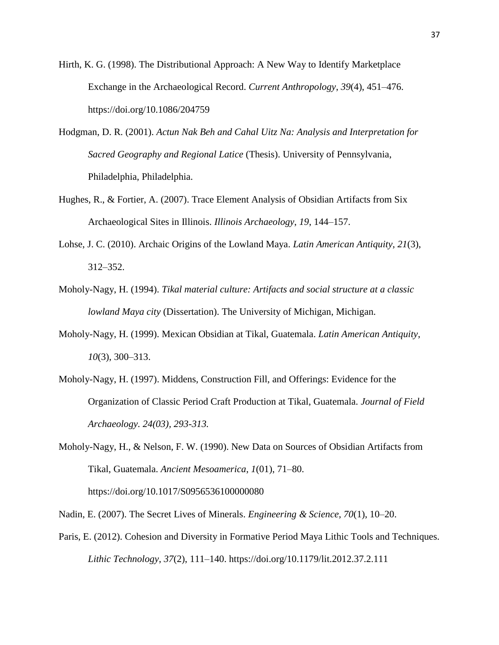Hirth, K. G. (1998). The Distributional Approach: A New Way to Identify Marketplace Exchange in the Archaeological Record. *Current Anthropology*, *39*(4), 451–476. https://doi.org/10.1086/204759

- Hodgman, D. R. (2001). *Actun Nak Beh and Cahal Uitz Na: Analysis and Interpretation for Sacred Geography and Regional Latice* (Thesis). University of Pennsylvania, Philadelphia, Philadelphia.
- Hughes, R., & Fortier, A. (2007). Trace Element Analysis of Obsidian Artifacts from Six Archaeological Sites in Illinois. *Illinois Archaeology*, *19*, 144–157.
- Lohse, J. C. (2010). Archaic Origins of the Lowland Maya. *Latin American Antiquity*, *21*(3), 312–352.
- Moholy-Nagy, H. (1994). *Tikal material culture: Artifacts and social structure at a classic lowland Maya city* (Dissertation). The University of Michigan, Michigan.
- Moholy-Nagy, H. (1999). Mexican Obsidian at Tikal, Guatemala. *Latin American Antiquity*, *10*(3), 300–313.
- Moholy-Nagy, H. (1997). Middens, Construction Fill, and Offerings: Evidence for the Organization of Classic Period Craft Production at Tikal, Guatemala. *Journal of Field Archaeology. 24(03), 293-313.*
- Moholy-Nagy, H., & Nelson, F. W. (1990). New Data on Sources of Obsidian Artifacts from Tikal, Guatemala. *Ancient Mesoamerica*, *1*(01), 71–80. https://doi.org/10.1017/S0956536100000080
- Nadin, E. (2007). The Secret Lives of Minerals. *Engineering & Science*, *70*(1), 10–20.
- Paris, E. (2012). Cohesion and Diversity in Formative Period Maya Lithic Tools and Techniques. *Lithic Technology*, *37*(2), 111–140. https://doi.org/10.1179/lit.2012.37.2.111